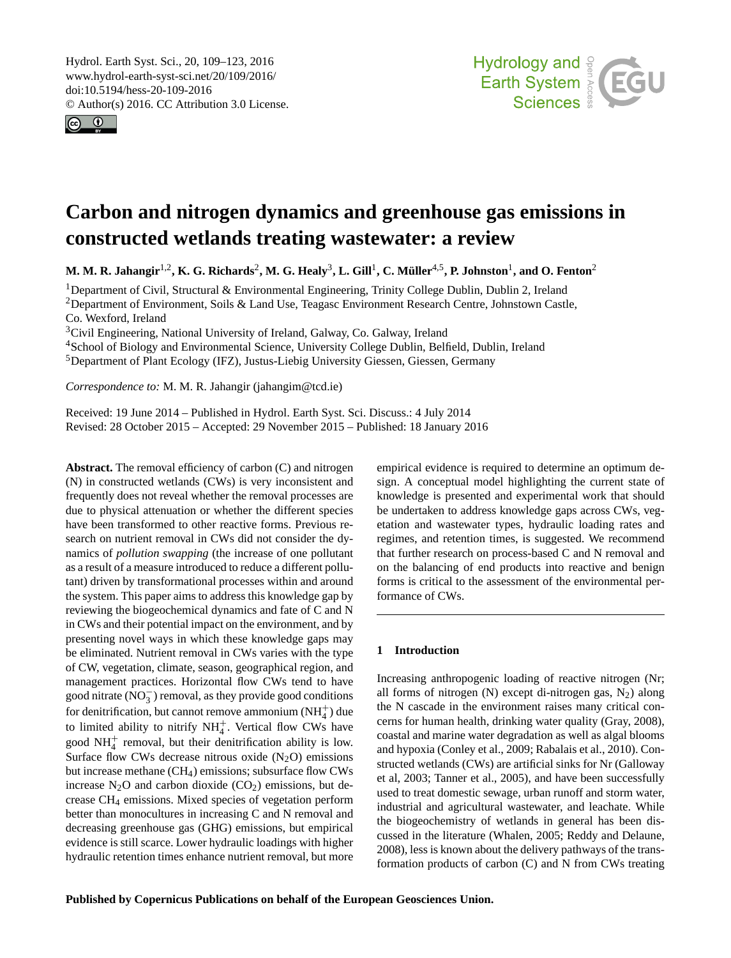<span id="page-0-1"></span>Hydrol. Earth Syst. Sci., 20, 109–123, 2016 www.hydrol-earth-syst-sci.net/20/109/2016/ doi:10.5194/hess-20-109-2016 © Author(s) 2016. CC Attribution 3.0 License.





# **Carbon and nitrogen dynamics and greenhouse gas emissions in constructed wetlands treating wastewater: a review**

**M. M. R. Jahangir**[1,2](#page-0-0) **, K. G. Richards**[2](#page-0-0) **, M. G. Healy**[3](#page-0-0) **, L. Gill**[1](#page-0-0) **, C. Müller**[4,5](#page-0-0) **, P. Johnston**[1](#page-0-0) **, and O. Fenton**[2](#page-0-0)

<sup>1</sup>Department of Civil, Structural & Environmental Engineering, Trinity College Dublin, Dublin 2, Ireland <sup>2</sup>Department of Environment, Soils & Land Use, Teagasc Environment Research Centre, Johnstown Castle, Co. Wexford, Ireland

<sup>3</sup>Civil Engineering, National University of Ireland, Galway, Co. Galway, Ireland

<sup>4</sup>School of Biology and Environmental Science, University College Dublin, Belfield, Dublin, Ireland

<sup>5</sup>Department of Plant Ecology (IFZ), Justus-Liebig University Giessen, Giessen, Germany

*Correspondence to:* M. M. R. Jahangir (jahangim@tcd.ie)

Received: 19 June 2014 – Published in Hydrol. Earth Syst. Sci. Discuss.: 4 July 2014 Revised: 28 October 2015 – Accepted: 29 November 2015 – Published: 18 January 2016

<span id="page-0-0"></span>**Abstract.** The removal efficiency of carbon (C) and nitrogen (N) in constructed wetlands (CWs) is very inconsistent and frequently does not reveal whether the removal processes are due to physical attenuation or whether the different species have been transformed to other reactive forms. Previous research on nutrient removal in CWs did not consider the dynamics of *pollution swapping* (the increase of one pollutant as a result of a measure introduced to reduce a different pollutant) driven by transformational processes within and around the system. This paper aims to address this knowledge gap by reviewing the biogeochemical dynamics and fate of C and N in CWs and their potential impact on the environment, and by presenting novel ways in which these knowledge gaps may be eliminated. Nutrient removal in CWs varies with the type of CW, vegetation, climate, season, geographical region, and management practices. Horizontal flow CWs tend to have good nitrate ( $NO_3^-$ ) removal, as they provide good conditions for denitrification, but cannot remove ammonium  $(NH_4^+)$  due to limited ability to nitrify  $NH_4^+$ . Vertical flow CWs have good  $NH<sub>4</sub><sup>+</sup>$  removal, but their denitrification ability is low. Surface flow CWs decrease nitrous oxide  $(N_2O)$  emissions but increase methane (CH<sub>4</sub>) emissions; subsurface flow CWs increase  $N_2O$  and carbon dioxide  $(CO_2)$  emissions, but decrease CH<sup>4</sup> emissions. Mixed species of vegetation perform better than monocultures in increasing C and N removal and decreasing greenhouse gas (GHG) emissions, but empirical evidence is still scarce. Lower hydraulic loadings with higher hydraulic retention times enhance nutrient removal, but more empirical evidence is required to determine an optimum design. A conceptual model highlighting the current state of knowledge is presented and experimental work that should be undertaken to address knowledge gaps across CWs, vegetation and wastewater types, hydraulic loading rates and regimes, and retention times, is suggested. We recommend that further research on process-based C and N removal and on the balancing of end products into reactive and benign forms is critical to the assessment of the environmental performance of CWs.

# **1 Introduction**

Increasing anthropogenic loading of reactive nitrogen (Nr; all forms of nitrogen (N) except di-nitrogen gas,  $N_2$ ) along the N cascade in the environment raises many critical concerns for human health, drinking water quality (Gray, 2008), coastal and marine water degradation as well as algal blooms and hypoxia (Conley et al., 2009; Rabalais et al., 2010). Constructed wetlands (CWs) are artificial sinks for Nr (Galloway et al, 2003; Tanner et al., 2005), and have been successfully used to treat domestic sewage, urban runoff and storm water, industrial and agricultural wastewater, and leachate. While the biogeochemistry of wetlands in general has been discussed in the literature (Whalen, 2005; Reddy and Delaune, 2008), less is known about the delivery pathways of the transformation products of carbon (C) and N from CWs treating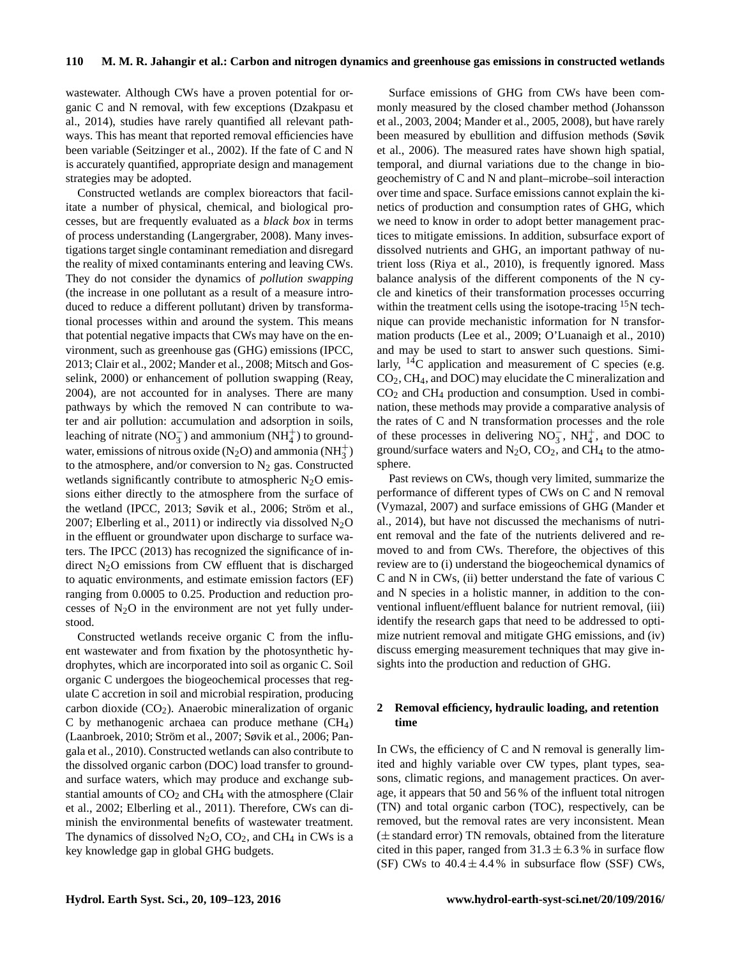wastewater. Although CWs have a proven potential for organic C and N removal, with few exceptions (Dzakpasu et al., 2014), studies have rarely quantified all relevant pathways. This has meant that reported removal efficiencies have been variable (Seitzinger et al., 2002). If the fate of C and N is accurately quantified, appropriate design and management strategies may be adopted.

Constructed wetlands are complex bioreactors that facilitate a number of physical, chemical, and biological processes, but are frequently evaluated as a *black box* in terms of process understanding (Langergraber, 2008). Many investigations target single contaminant remediation and disregard the reality of mixed contaminants entering and leaving CWs. They do not consider the dynamics of *pollution swapping* (the increase in one pollutant as a result of a measure introduced to reduce a different pollutant) driven by transformational processes within and around the system. This means that potential negative impacts that CWs may have on the environment, such as greenhouse gas (GHG) emissions (IPCC, 2013; Clair et al., 2002; Mander et al., 2008; Mitsch and Gosselink, 2000) or enhancement of pollution swapping (Reay, 2004), are not accounted for in analyses. There are many pathways by which the removed N can contribute to water and air pollution: accumulation and adsorption in soils, leaching of nitrate ( $NO_3^-$ ) and ammonium ( $NH_4^+$ ) to groundwater, emissions of nitrous oxide (N<sub>2</sub>O) and ammonia (NH<sub>3</sub><sup>+</sup>) to the atmosphere, and/or conversion to  $N_2$  gas. Constructed wetlands significantly contribute to atmospheric  $N_2O$  emissions either directly to the atmosphere from the surface of the wetland (IPCC, 2013; Søvik et al., 2006; Ström et al., 2007; Elberling et al., 2011) or indirectly via dissolved  $N_2O$ in the effluent or groundwater upon discharge to surface waters. The IPCC (2013) has recognized the significance of indirect  $N_2O$  emissions from CW effluent that is discharged to aquatic environments, and estimate emission factors (EF) ranging from 0.0005 to 0.25. Production and reduction processes of  $N_2O$  in the environment are not yet fully understood.

Constructed wetlands receive organic C from the influent wastewater and from fixation by the photosynthetic hydrophytes, which are incorporated into soil as organic C. Soil organic C undergoes the biogeochemical processes that regulate C accretion in soil and microbial respiration, producing carbon dioxide  $(CO<sub>2</sub>)$ . Anaerobic mineralization of organic C by methanogenic archaea can produce methane  $(CH_4)$ (Laanbroek, 2010; Ström et al., 2007; Søvik et al., 2006; Pangala et al., 2010). Constructed wetlands can also contribute to the dissolved organic carbon (DOC) load transfer to groundand surface waters, which may produce and exchange substantial amounts of  $CO<sub>2</sub>$  and  $CH<sub>4</sub>$  with the atmosphere (Clair et al., 2002; Elberling et al., 2011). Therefore, CWs can diminish the environmental benefits of wastewater treatment. The dynamics of dissolved  $N_2O$ ,  $CO_2$ , and  $CH_4$  in CWs is a key knowledge gap in global GHG budgets.

Surface emissions of GHG from CWs have been commonly measured by the closed chamber method (Johansson et al., 2003, 2004; Mander et al., 2005, 2008), but have rarely been measured by ebullition and diffusion methods (Søvik et al., 2006). The measured rates have shown high spatial, temporal, and diurnal variations due to the change in biogeochemistry of C and N and plant–microbe–soil interaction over time and space. Surface emissions cannot explain the kinetics of production and consumption rates of GHG, which we need to know in order to adopt better management practices to mitigate emissions. In addition, subsurface export of dissolved nutrients and GHG, an important pathway of nutrient loss (Riya et al., 2010), is frequently ignored. Mass balance analysis of the different components of the N cycle and kinetics of their transformation processes occurring within the treatment cells using the isotope-tracing  $^{15}N$  technique can provide mechanistic information for N transformation products (Lee et al., 2009; O'Luanaigh et al., 2010) and may be used to start to answer such questions. Similarly,  $^{14}C$  application and measurement of C species (e.g. CO2, CH4, and DOC) may elucidate the C mineralization and  $CO<sub>2</sub>$  and  $CH<sub>4</sub>$  production and consumption. Used in combination, these methods may provide a comparative analysis of the rates of C and N transformation processes and the role of these processes in delivering  $NO_3^-$ ,  $NH_4^+$ , and DOC to ground/surface waters and  $N_2O$ ,  $CO_2$ , and  $CH_4$  to the atmosphere.

Past reviews on CWs, though very limited, summarize the performance of different types of CWs on C and N removal (Vymazal, 2007) and surface emissions of GHG (Mander et al., 2014), but have not discussed the mechanisms of nutrient removal and the fate of the nutrients delivered and removed to and from CWs. Therefore, the objectives of this review are to (i) understand the biogeochemical dynamics of C and N in CWs, (ii) better understand the fate of various C and N species in a holistic manner, in addition to the conventional influent/effluent balance for nutrient removal, (iii) identify the research gaps that need to be addressed to optimize nutrient removal and mitigate GHG emissions, and (iv) discuss emerging measurement techniques that may give insights into the production and reduction of GHG.

# **2 Removal efficiency, hydraulic loading, and retention time**

In CWs, the efficiency of C and N removal is generally limited and highly variable over CW types, plant types, seasons, climatic regions, and management practices. On average, it appears that 50 and 56 % of the influent total nitrogen (TN) and total organic carbon (TOC), respectively, can be removed, but the removal rates are very inconsistent. Mean  $(\pm$  standard error) TN removals, obtained from the literature cited in this paper, ranged from  $31.3 \pm 6.3$  % in surface flow (SF) CWs to  $40.4 \pm 4.4$ % in subsurface flow (SSF) CWs,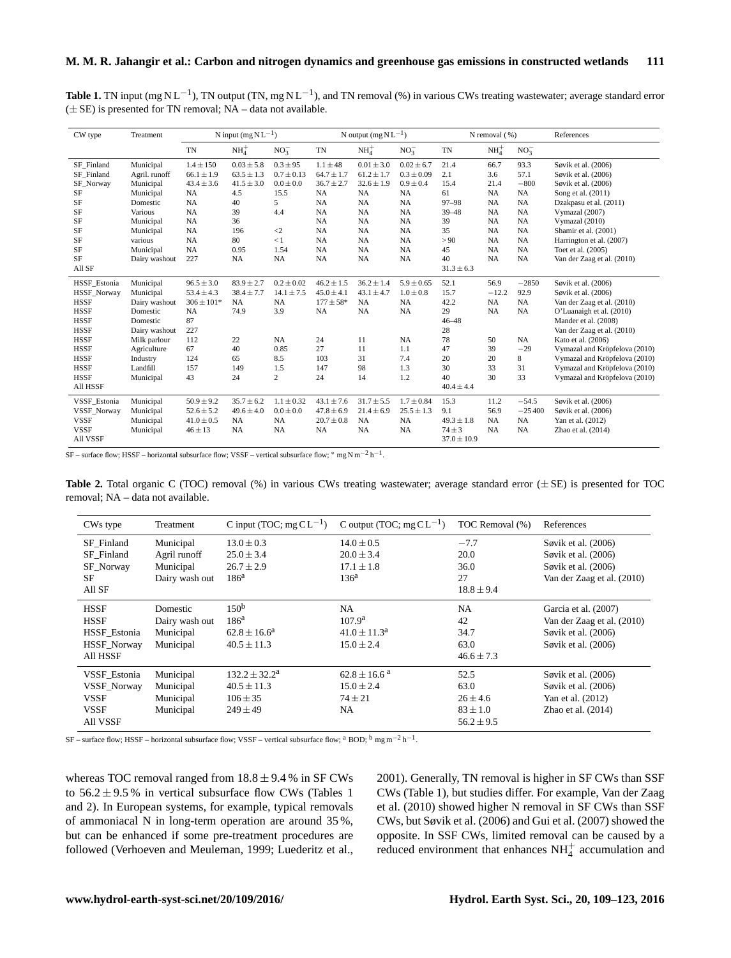Table 1. TN input (mg N L<sup>-1</sup>), TN output (TN, mg N L<sup>-1</sup>), and TN removal (%) in various CWs treating wastewater; average standard error (± SE) is presented for TN removal; NA – data not available.

| CW type            | Treatment     | N input $(mgNL^{-1})$ |                | N output $(mgNL^{-1})$ |                |                | N removal (%)  |                 |           | References |                               |
|--------------------|---------------|-----------------------|----------------|------------------------|----------------|----------------|----------------|-----------------|-----------|------------|-------------------------------|
|                    |               | TN                    | $NH4+$         | $NO_3^-$               | TN             | $NH4+$         | $NO_3^-$       | TN              | $NH4+$    | $NO_3^-$   |                               |
| SF Finland         | Municipal     | $1.4 \pm 150$         | $0.03 \pm 5.8$ | $0.3 \pm 95$           | $1.1 \pm 48$   | $0.01 \pm 3.0$ | $0.02 \pm 6.7$ | 21.4            | 66.7      | 93.3       | Søvik et al. (2006)           |
| SF Finland         | Agril. runoff | $66.1 \pm 1.9$        | $63.5 \pm 1.3$ | $0.7 \pm 0.13$         | $64.7 \pm 1.7$ | $61.2 \pm 1.7$ | $0.3 \pm 0.09$ | 2.1             | 3.6       | 57.1       | Søvik et al. (2006)           |
| SF_Norway          | Municipal     | $43.4 \pm 3.6$        | $41.5 \pm 3.0$ | $0.0 \pm 0.0$          | $36.7 \pm 2.7$ | $32.6 \pm 1.9$ | $0.9 \pm 0.4$  | 15.4            | 21.4      | $-800$     | Søvik et al. (2006)           |
| SF                 | Municipal     | <b>NA</b>             | 4.5            | 15.5                   | <b>NA</b>      | <b>NA</b>      | <b>NA</b>      | 61              | <b>NA</b> | NA         | Song et al. (2011)            |
| <b>SF</b>          | Domestic      | NA                    | 40             | 5                      | <b>NA</b>      | NA             | <b>NA</b>      | $97 - 98$       | <b>NA</b> | NA         | Dzakpasu et al. (2011)        |
| $\rm{SF}$          | Various       | NA                    | 39             | 4.4                    | NA             | NA             | NA             | $39 - 48$       | <b>NA</b> | NA         | Vymazal (2007)                |
| <b>SF</b>          | Municipal     | <b>NA</b>             | 36             |                        | <b>NA</b>      | <b>NA</b>      | <b>NA</b>      | 39              | <b>NA</b> | NA         | Vymazal (2010)                |
| <b>SF</b>          | Municipal     | <b>NA</b>             | 196            | $\langle 2$            | <b>NA</b>      | <b>NA</b>      | <b>NA</b>      | 35              | <b>NA</b> | NA         | Shamir et al. (2001)          |
| $\rm{SF}$          | various       | <b>NA</b>             | 80             | <1                     | <b>NA</b>      | <b>NA</b>      | NA             | > 90            | <b>NA</b> | NA         | Harrington et al. (2007)      |
| <b>SF</b>          | Municipal     | <b>NA</b>             | 0.95           | 1.54                   | <b>NA</b>      | NA             | <b>NA</b>      | 45              | <b>NA</b> | NA         | Toet et al. (2005)            |
| <b>SF</b>          | Dairy washout | 227                   | <b>NA</b>      | NA                     | <b>NA</b>      | <b>NA</b>      | NA             | 40              | <b>NA</b> | NA         | Van der Zaag et al. (2010)    |
| All SF             |               |                       |                |                        |                |                |                | $31.3 \pm 6.3$  |           |            |                               |
| HSSF Estonia       | Municipal     | $96.5 \pm 3.0$        | $83.9 \pm 2.7$ | $0.2 \pm 0.02$         | $46.2 \pm 1.5$ | $36.2 \pm 1.4$ | $5.9 \pm 0.65$ | 52.1            | 56.9      | $-2850$    | Søvik et al. (2006)           |
| <b>HSSF Norway</b> | Municipal     | $53.4 \pm 4.3$        | $38.4 \pm 7.7$ | $14.1 \pm 7.5$         | $45.0 \pm 4.1$ | $43.1 \pm 4.7$ | $1.0 \pm 0.8$  | 15.7            | $-12.2$   | 92.9       | Søvik et al. (2006)           |
| <b>HSSF</b>        | Dairy washout | $306 \pm 101*$        | NA             | <b>NA</b>              | $177 \pm 58*$  | NA             | <b>NA</b>      | 42.2            | <b>NA</b> | NA         | Van der Zaag et al. (2010)    |
| <b>HSSF</b>        | Domestic      | <b>NA</b>             | 74.9           | 3.9                    | <b>NA</b>      | <b>NA</b>      | NA             | 29              | <b>NA</b> | NA         | O'Luanaigh et al. (2010)      |
| <b>HSSF</b>        | Domestic      | 87                    |                |                        |                |                |                | $46 - 48$       |           |            | Mander et al. (2008)          |
| <b>HSSF</b>        | Dairy washout | 227                   |                |                        |                |                |                | 28              |           |            | Van der Zaag et al. (2010)    |
| <b>HSSF</b>        | Milk parlour  | 112                   | 22             | <b>NA</b>              | 24             | 11             | <b>NA</b>      | 78              | 50        | NA         | Kato et al. (2006)            |
| <b>HSSF</b>        | Agriculture   | 67                    | 40             | 0.85                   | 27             | 11             | 1.1            | 47              | 39        | $-29$      | Vymazal and Kröpfelova (2010) |
| <b>HSSF</b>        | Industry      | 124                   | 65             | 8.5                    | 103            | 31             | 7.4            | 20              | 20        | 8          | Vymazal and Kröpfelova (2010) |
| <b>HSSF</b>        | Landfill      | 157                   | 149            | 1.5                    | 147            | 98             | 1.3            | 30              | 33        | 31         | Vymazal and Kröpfelova (2010) |
| <b>HSSF</b>        | Municipal     | 43                    | 24             | $\overline{c}$         | 24             | 14             | 1.2            | 40              | 30        | 33         | Vymazal and Kröpfelova (2010) |
| All HSSF           |               |                       |                |                        |                |                |                | $40.4 \pm 4.4$  |           |            |                               |
| VSSF Estonia       | Municipal     | $50.9 \pm 9.2$        | $35.7 \pm 6.2$ | $1.1 \pm 0.32$         | $43.1 \pm 7.6$ | $31.7 \pm 5.5$ | $1.7 \pm 0.84$ | 15.3            | 11.2      | $-54.5$    | Søvik et al. (2006)           |
| VSSF_Norway        | Municipal     | $52.6 \pm 5.2$        | $49.6 \pm 4.0$ | $0.0 \pm 0.0$          | $47.8 \pm 6.9$ | $21.4 \pm 6.9$ | $25.5 \pm 1.3$ | 9.1             | 56.9      | $-25400$   | Søvik et al. (2006)           |
| <b>VSSF</b>        | Municipal     | $41.0 \pm 0.5$        | <b>NA</b>      | NA                     | $20.7 \pm 0.8$ | NA             | NA             | $49.3 \pm 1.8$  | <b>NA</b> | <b>NA</b>  | Yan et al. (2012)             |
| <b>VSSF</b>        | Municipal     | $46 \pm 13$           | <b>NA</b>      | <b>NA</b>              | NA             | <b>NA</b>      | NA             | $74 \pm 3$      | <b>NA</b> | NA         | Zhao et al. (2014)            |
| All VSSF           |               |                       |                |                        |                |                |                | $37.0 \pm 10.9$ |           |            |                               |

 $SF - surface flow$ ; HSSF – horizontal subsurface flow; VSSF – vertical subsurface flow; \* mg N m<sup>-2</sup> h<sup>-1</sup>.

**Table 2.** Total organic C (TOC) removal (%) in various CWs treating wastewater; average standard error  $(\pm SE)$  is presented for TOC removal; NA – data not available.

| CW <sub>s</sub> type                                                  | Treatment                                                | C input (TOC; mg $CL^{-1}$ )                                                 | C output (TOC; mg $CL^{-1}$ )                                          | TOC Removal (%)                                                | References                                                                                       |
|-----------------------------------------------------------------------|----------------------------------------------------------|------------------------------------------------------------------------------|------------------------------------------------------------------------|----------------------------------------------------------------|--------------------------------------------------------------------------------------------------|
| SF Finland<br>SF Finland<br>SF_Norway<br><b>SF</b><br>All SF          | Municipal<br>Agril runoff<br>Municipal<br>Dairy wash out | $13.0 \pm 0.3$<br>$25.0 \pm 3.4$<br>$26.7 \pm 2.9$<br>186 <sup>a</sup>       | $14.0 \pm 0.5$<br>$20.0 \pm 3.4$<br>$17.1 \pm 1.8$<br>136 <sup>a</sup> | $-7.7$<br>20.0<br>36.0<br>27<br>$18.8 \pm 9.4$                 | Søvik et al. (2006)<br>Søvik et al. (2006)<br>Søvik et al. (2006)<br>Van der Zaag et al. (2010)  |
| <b>HSSF</b><br><b>HSSF</b><br>HSSF_Estonia<br>HSSF_Norway<br>All HSSF | Domestic<br>Dairy wash out<br>Municipal<br>Municipal     | 150 <sup>b</sup><br>186 <sup>a</sup><br>$62.8 \pm 16.6^a$<br>$40.5 \pm 11.3$ | NA<br>107.9 <sup>a</sup><br>$41.0 \pm 11.3^a$<br>$15.0 \pm 2.4$        | NA.<br>42<br>34.7<br>63.0<br>$46.6 \pm 7.3$                    | Garcia et al. (2007)<br>Van der Zaag et al. (2010)<br>Søvik et al. (2006)<br>Søvik et al. (2006) |
| VSSF_Estonia<br>VSSF_Norway<br><b>VSSF</b><br><b>VSSF</b><br>All VSSF | Municipal<br>Municipal<br>Municipal<br>Municipal         | $132.2 \pm 32.2^a$<br>$40.5 \pm 11.3$<br>$106 \pm 35$<br>$249 \pm 49$        | $62.8 \pm 16.6^{\text{a}}$<br>$15.0 \pm 2.4$<br>$74 \pm 21$<br>NA      | 52.5<br>63.0<br>$26 \pm 4.6$<br>$83 \pm 1.0$<br>$56.2 \pm 9.5$ | Søvik et al. (2006)<br>Søvik et al. (2006)<br>Yan et al. (2012)<br>Zhao et al. $(2014)$          |

SF – surface flow; HSSF – horizontal subsurface flow; VSSF – vertical subsurface flow; <sup>a</sup> BOD; <sup>b</sup> mg m<sup>-2</sup> h<sup>-1</sup>.

whereas TOC removal ranged from  $18.8 \pm 9.4$  % in SF CWs to  $56.2 \pm 9.5$ % in vertical subsurface flow CWs (Tables 1) and 2). In European systems, for example, typical removals of ammoniacal N in long-term operation are around 35 %, but can be enhanced if some pre-treatment procedures are followed (Verhoeven and Meuleman, 1999; Luederitz et al.,

2001). Generally, TN removal is higher in SF CWs than SSF CWs (Table 1), but studies differ. For example, Van der Zaag et al. (2010) showed higher N removal in SF CWs than SSF CWs, but Søvik et al. (2006) and Gui et al. (2007) showed the opposite. In SSF CWs, limited removal can be caused by a reduced environment that enhances  $NH<sub>4</sub><sup>+</sup>$  accumulation and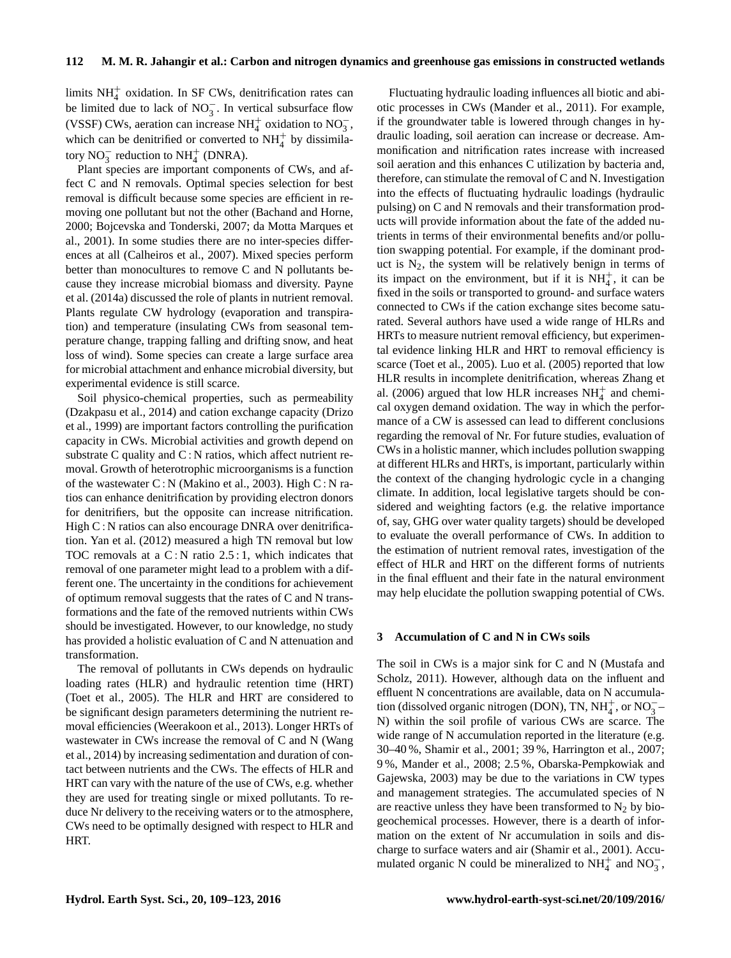limits  $NH<sub>4</sub><sup>+</sup>$  oxidation. In SF CWs, denitrification rates can be limited due to lack of NO<sub>3</sub>. In vertical subsurface flow (VSSF) CWs, aeration can increase  $NH_4^+$  oxidation to  $NO_3^-$ , which can be denitrified or converted to  $NH<sub>4</sub><sup>+</sup>$  by dissimilatory  $NO_3^-$  reduction to  $NH_4^+$  (DNRA).

Plant species are important components of CWs, and affect C and N removals. Optimal species selection for best removal is difficult because some species are efficient in removing one pollutant but not the other (Bachand and Horne, 2000; Bojcevska and Tonderski, 2007; da Motta Marques et al., 2001). In some studies there are no inter-species differences at all (Calheiros et al., 2007). Mixed species perform better than monocultures to remove C and N pollutants because they increase microbial biomass and diversity. Payne et al. (2014a) discussed the role of plants in nutrient removal. Plants regulate CW hydrology (evaporation and transpiration) and temperature (insulating CWs from seasonal temperature change, trapping falling and drifting snow, and heat loss of wind). Some species can create a large surface area for microbial attachment and enhance microbial diversity, but experimental evidence is still scarce.

Soil physico-chemical properties, such as permeability (Dzakpasu et al., 2014) and cation exchange capacity (Drizo et al., 1999) are important factors controlling the purification capacity in CWs. Microbial activities and growth depend on substrate C quality and C: N ratios, which affect nutrient removal. Growth of heterotrophic microorganisms is a function of the wastewater C : N (Makino et al., 2003). High C: N ratios can enhance denitrification by providing electron donors for denitrifiers, but the opposite can increase nitrification. High C: N ratios can also encourage DNRA over denitrification. Yan et al. (2012) measured a high TN removal but low TOC removals at a  $C: N$  ratio 2.5:1, which indicates that removal of one parameter might lead to a problem with a different one. The uncertainty in the conditions for achievement of optimum removal suggests that the rates of C and N transformations and the fate of the removed nutrients within CWs should be investigated. However, to our knowledge, no study has provided a holistic evaluation of C and N attenuation and transformation.

The removal of pollutants in CWs depends on hydraulic loading rates (HLR) and hydraulic retention time (HRT) (Toet et al., 2005). The HLR and HRT are considered to be significant design parameters determining the nutrient removal efficiencies (Weerakoon et al., 2013). Longer HRTs of wastewater in CWs increase the removal of C and N (Wang et al., 2014) by increasing sedimentation and duration of contact between nutrients and the CWs. The effects of HLR and HRT can vary with the nature of the use of CWs, e.g. whether they are used for treating single or mixed pollutants. To reduce Nr delivery to the receiving waters or to the atmosphere, CWs need to be optimally designed with respect to HLR and HRT.

Fluctuating hydraulic loading influences all biotic and abiotic processes in CWs (Mander et al., 2011). For example, if the groundwater table is lowered through changes in hydraulic loading, soil aeration can increase or decrease. Ammonification and nitrification rates increase with increased soil aeration and this enhances C utilization by bacteria and, therefore, can stimulate the removal of C and N. Investigation into the effects of fluctuating hydraulic loadings (hydraulic pulsing) on C and N removals and their transformation products will provide information about the fate of the added nutrients in terms of their environmental benefits and/or pollution swapping potential. For example, if the dominant product is  $N_2$ , the system will be relatively benign in terms of its impact on the environment, but if it is  $NH<sub>4</sub><sup>+</sup>$ , it can be fixed in the soils or transported to ground- and surface waters connected to CWs if the cation exchange sites become saturated. Several authors have used a wide range of HLRs and HRTs to measure nutrient removal efficiency, but experimental evidence linking HLR and HRT to removal efficiency is scarce (Toet et al., 2005). Luo et al. (2005) reported that low HLR results in incomplete denitrification, whereas Zhang et al. (2006) argued that low HLR increases  $NH<sub>4</sub><sup>+</sup>$  and chemical oxygen demand oxidation. The way in which the performance of a CW is assessed can lead to different conclusions regarding the removal of Nr. For future studies, evaluation of CWs in a holistic manner, which includes pollution swapping at different HLRs and HRTs, is important, particularly within the context of the changing hydrologic cycle in a changing climate. In addition, local legislative targets should be considered and weighting factors (e.g. the relative importance of, say, GHG over water quality targets) should be developed to evaluate the overall performance of CWs. In addition to the estimation of nutrient removal rates, investigation of the effect of HLR and HRT on the different forms of nutrients in the final effluent and their fate in the natural environment may help elucidate the pollution swapping potential of CWs.

### **3 Accumulation of C and N in CWs soils**

The soil in CWs is a major sink for C and N (Mustafa and Scholz, 2011). However, although data on the influent and effluent N concentrations are available, data on N accumulation (dissolved organic nitrogen (DON), TN,  $NH_4^+$ , or  $NO_3^-$ -N) within the soil profile of various CWs are scarce. The wide range of N accumulation reported in the literature (e.g. 30–40 %, Shamir et al., 2001; 39 %, Harrington et al., 2007; 9 %, Mander et al., 2008; 2.5 %, Obarska-Pempkowiak and Gajewska, 2003) may be due to the variations in CW types and management strategies. The accumulated species of N are reactive unless they have been transformed to  $N_2$  by biogeochemical processes. However, there is a dearth of information on the extent of Nr accumulation in soils and discharge to surface waters and air (Shamir et al., 2001). Accumulated organic N could be mineralized to  $NH_4^+$  and  $NO_3^-$ ,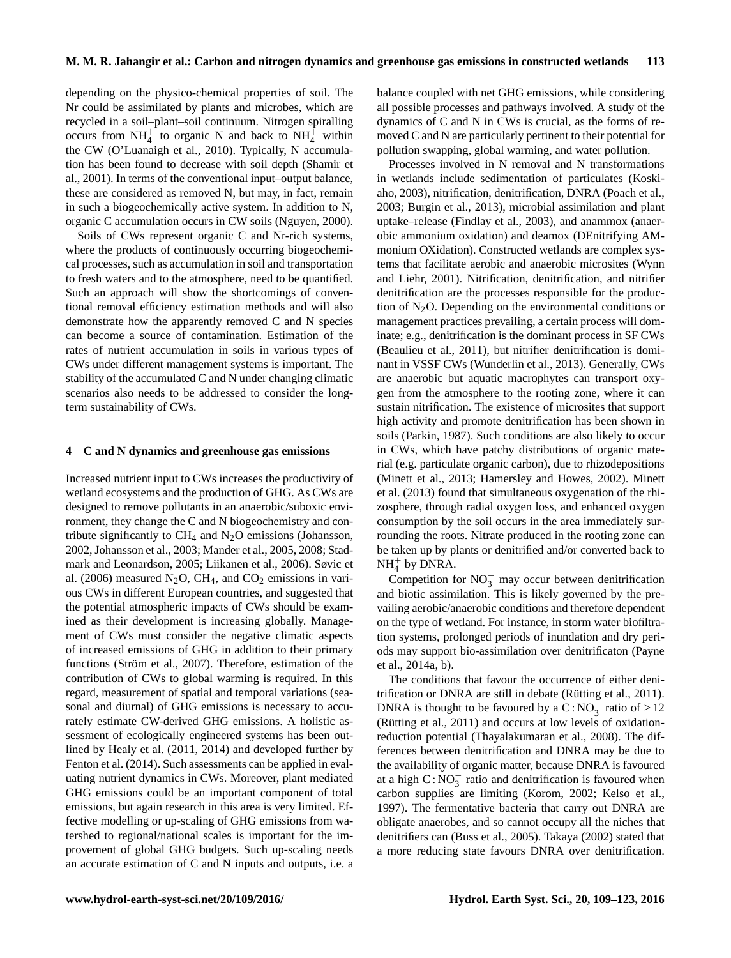depending on the physico-chemical properties of soil. The Nr could be assimilated by plants and microbes, which are recycled in a soil–plant–soil continuum. Nitrogen spiralling occurs from  $NH_4^+$  to organic N and back to  $NH_4^+$  within the CW (O'Luanaigh et al., 2010). Typically, N accumulation has been found to decrease with soil depth (Shamir et al., 2001). In terms of the conventional input–output balance, these are considered as removed N, but may, in fact, remain in such a biogeochemically active system. In addition to N, organic C accumulation occurs in CW soils (Nguyen, 2000).

Soils of CWs represent organic C and Nr-rich systems, where the products of continuously occurring biogeochemical processes, such as accumulation in soil and transportation to fresh waters and to the atmosphere, need to be quantified. Such an approach will show the shortcomings of conventional removal efficiency estimation methods and will also demonstrate how the apparently removed C and N species can become a source of contamination. Estimation of the rates of nutrient accumulation in soils in various types of CWs under different management systems is important. The stability of the accumulated C and N under changing climatic scenarios also needs to be addressed to consider the longterm sustainability of CWs.

# **4 C and N dynamics and greenhouse gas emissions**

Increased nutrient input to CWs increases the productivity of wetland ecosystems and the production of GHG. As CWs are designed to remove pollutants in an anaerobic/suboxic environment, they change the C and N biogeochemistry and contribute significantly to  $CH_4$  and  $N_2O$  emissions (Johansson, 2002, Johansson et al., 2003; Mander et al., 2005, 2008; Stadmark and Leonardson, 2005; Liikanen et al., 2006). Søvic et al. (2006) measured  $N_2O$ , CH<sub>4</sub>, and CO<sub>2</sub> emissions in various CWs in different European countries, and suggested that the potential atmospheric impacts of CWs should be examined as their development is increasing globally. Management of CWs must consider the negative climatic aspects of increased emissions of GHG in addition to their primary functions (Ström et al., 2007). Therefore, estimation of the contribution of CWs to global warming is required. In this regard, measurement of spatial and temporal variations (seasonal and diurnal) of GHG emissions is necessary to accurately estimate CW-derived GHG emissions. A holistic assessment of ecologically engineered systems has been outlined by Healy et al. (2011, 2014) and developed further by Fenton et al. (2014). Such assessments can be applied in evaluating nutrient dynamics in CWs. Moreover, plant mediated GHG emissions could be an important component of total emissions, but again research in this area is very limited. Effective modelling or up-scaling of GHG emissions from watershed to regional/national scales is important for the improvement of global GHG budgets. Such up-scaling needs an accurate estimation of C and N inputs and outputs, i.e. a balance coupled with net GHG emissions, while considering all possible processes and pathways involved. A study of the dynamics of C and N in CWs is crucial, as the forms of removed C and N are particularly pertinent to their potential for pollution swapping, global warming, and water pollution.

Processes involved in N removal and N transformations in wetlands include sedimentation of particulates (Koskiaho, 2003), nitrification, denitrification, DNRA (Poach et al., 2003; Burgin et al., 2013), microbial assimilation and plant uptake–release (Findlay et al., 2003), and anammox (anaerobic ammonium oxidation) and deamox (DEnitrifying AMmonium OXidation). Constructed wetlands are complex systems that facilitate aerobic and anaerobic microsites (Wynn and Liehr, 2001). Nitrification, denitrification, and nitrifier denitrification are the processes responsible for the production of  $N_2O$ . Depending on the environmental conditions or management practices prevailing, a certain process will dominate; e.g., denitrification is the dominant process in SF CWs (Beaulieu et al., 2011), but nitrifier denitrification is dominant in VSSF CWs (Wunderlin et al., 2013). Generally, CWs are anaerobic but aquatic macrophytes can transport oxygen from the atmosphere to the rooting zone, where it can sustain nitrification. The existence of microsites that support high activity and promote denitrification has been shown in soils (Parkin, 1987). Such conditions are also likely to occur in CWs, which have patchy distributions of organic material (e.g. particulate organic carbon), due to rhizodepositions (Minett et al., 2013; Hamersley and Howes, 2002). Minett et al. (2013) found that simultaneous oxygenation of the rhizosphere, through radial oxygen loss, and enhanced oxygen consumption by the soil occurs in the area immediately surrounding the roots. Nitrate produced in the rooting zone can be taken up by plants or denitrified and/or converted back to  $NH_4^+$  by DNRA.

Competition for  $NO_3^-$  may occur between denitrification and biotic assimilation. This is likely governed by the prevailing aerobic/anaerobic conditions and therefore dependent on the type of wetland. For instance, in storm water biofiltration systems, prolonged periods of inundation and dry periods may support bio-assimilation over denitrificaton (Payne et al., 2014a, b).

The conditions that favour the occurrence of either denitrification or DNRA are still in debate (Rütting et al., 2011). DNRA is thought to be favoured by a  $C : NO_3^-$  ratio of > 12 (Rütting et al., 2011) and occurs at low levels of oxidationreduction potential (Thayalakumaran et al., 2008). The differences between denitrification and DNRA may be due to the availability of organic matter, because DNRA is favoured at a high  $C: \overline{NO_3}^-$  ratio and denitrification is favoured when carbon supplies are limiting (Korom, 2002; Kelso et al., 1997). The fermentative bacteria that carry out DNRA are obligate anaerobes, and so cannot occupy all the niches that denitrifiers can (Buss et al., 2005). Takaya (2002) stated that a more reducing state favours DNRA over denitrification.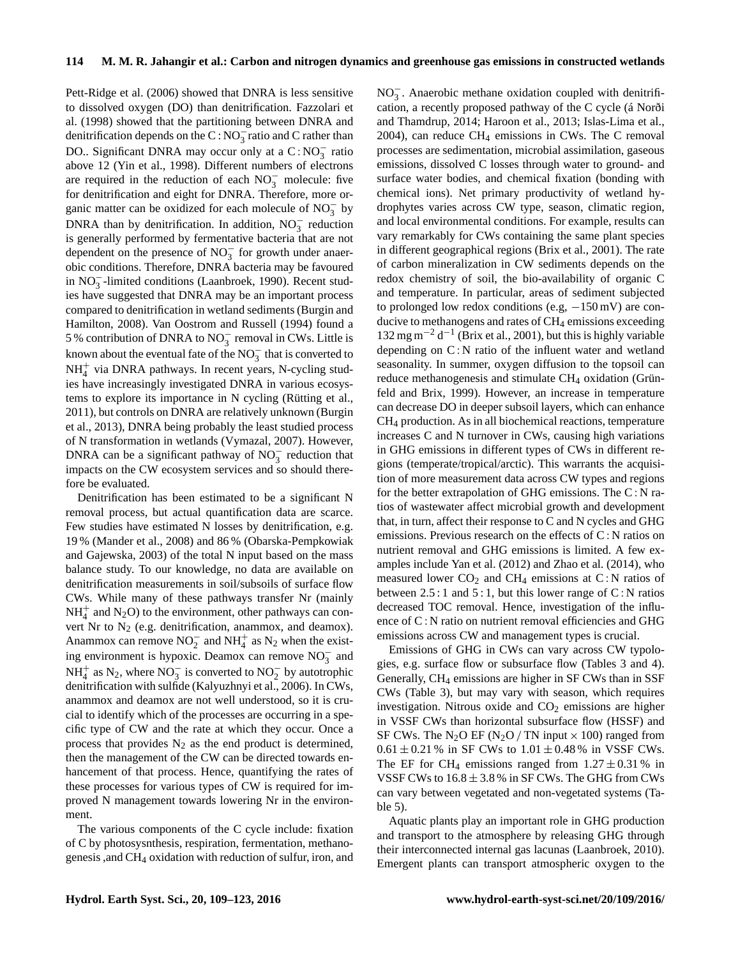Pett-Ridge et al. (2006) showed that DNRA is less sensitive to dissolved oxygen (DO) than denitrification. Fazzolari et al. (1998) showed that the partitioning between DNRA and denitrification depends on the C :  $NO_3^-$  ratio and C rather than DO.. Significant DNRA may occur only at a C∶NO<sub>3</sub> ratio above 12 (Yin et al., 1998). Different numbers of electrons are required in the reduction of each  $NO<sub>3</sub><sup>-</sup>$  molecule: five for denitrification and eight for DNRA. Therefore, more organic matter can be oxidized for each molecule of  $NO_3^-$  by DNRA than by denitrification. In addition,  $NO_3^-$  reduction is generally performed by fermentative bacteria that are not dependent on the presence of  $NO_3^-$  for growth under anaerobic conditions. Therefore, DNRA bacteria may be favoured in NO<sup>−</sup> 3 -limited conditions (Laanbroek, 1990). Recent studies have suggested that DNRA may be an important process compared to denitrification in wetland sediments (Burgin and Hamilton, 2008). Van Oostrom and Russell (1994) found a 5 % contribution of DNRA to  $NO_3^-$  removal in CWs. Little is known about the eventual fate of the  $NO_3^-$  that is converted to  $NH<sub>4</sub><sup>+</sup>$  via DNRA pathways. In recent years, N-cycling studies have increasingly investigated DNRA in various ecosystems to explore its importance in N cycling (Rütting et al., 2011), but controls on DNRA are relatively unknown (Burgin et al., 2013), DNRA being probably the least studied process of N transformation in wetlands (Vymazal, 2007). However, DNRA can be a significant pathway of  $NO_3^-$  reduction that impacts on the CW ecosystem services and so should therefore be evaluated.

Denitrification has been estimated to be a significant N removal process, but actual quantification data are scarce. Few studies have estimated N losses by denitrification, e.g. 19 % (Mander et al., 2008) and 86 % (Obarska-Pempkowiak and Gajewska, 2003) of the total N input based on the mass balance study. To our knowledge, no data are available on denitrification measurements in soil/subsoils of surface flow CWs. While many of these pathways transfer Nr (mainly  $NH<sub>4</sub><sup>+</sup>$  and N<sub>2</sub>O) to the environment, other pathways can convert Nr to  $N_2$  (e.g. denitrification, anammox, and deamox). Anammox can remove  $NO_2^-$  and  $NH_4^+$  as  $N_2$  when the existing environment is hypoxic. Deamox can remove  $NO_3^-$  and  $NH_4^+$  as N<sub>2</sub>, where NO<sub>3</sub> is converted to NO<sub>2</sub> by autotrophic denitrification with sulfide (Kalyuzhnyi et al., 2006). In CWs, anammox and deamox are not well understood, so it is crucial to identify which of the processes are occurring in a specific type of CW and the rate at which they occur. Once a process that provides  $N_2$  as the end product is determined, then the management of the CW can be directed towards enhancement of that process. Hence, quantifying the rates of these processes for various types of CW is required for improved N management towards lowering Nr in the environment.

The various components of the C cycle include: fixation of C by photosysnthesis, respiration, fermentation, methanogenesis ,and CH<sup>4</sup> oxidation with reduction of sulfur, iron, and

NO<sub>3</sub>. Anaerobic methane oxidation coupled with denitrification, a recently proposed pathway of the C cycle (á Norði and Thamdrup, 2014; Haroon et al., 2013; Islas-Lima et al.,  $2004$ ), can reduce CH<sub>4</sub> emissions in CWs. The C removal processes are sedimentation, microbial assimilation, gaseous emissions, dissolved C losses through water to ground- and surface water bodies, and chemical fixation (bonding with chemical ions). Net primary productivity of wetland hydrophytes varies across CW type, season, climatic region, and local environmental conditions. For example, results can vary remarkably for CWs containing the same plant species in different geographical regions (Brix et al., 2001). The rate of carbon mineralization in CW sediments depends on the redox chemistry of soil, the bio-availability of organic C and temperature. In particular, areas of sediment subjected to prolonged low redox conditions (e.g,  $-150 \text{ mV}$ ) are conducive to methanogens and rates of  $CH_4$  emissions exceeding 132 mg m<sup>-2</sup> d<sup>-1</sup> (Brix et al., 2001), but this is highly variable depending on C: N ratio of the influent water and wetland seasonality. In summer, oxygen diffusion to the topsoil can reduce methanogenesis and stimulate  $CH<sub>4</sub>$  oxidation (Grünfeld and Brix, 1999). However, an increase in temperature can decrease DO in deeper subsoil layers, which can enhance CH<sup>4</sup> production. As in all biochemical reactions, temperature increases C and N turnover in CWs, causing high variations in GHG emissions in different types of CWs in different regions (temperate/tropical/arctic). This warrants the acquisition of more measurement data across CW types and regions for the better extrapolation of GHG emissions. The C: N ratios of wastewater affect microbial growth and development that, in turn, affect their response to C and N cycles and GHG emissions. Previous research on the effects of C : N ratios on nutrient removal and GHG emissions is limited. A few examples include Yan et al. (2012) and Zhao et al. (2014), who measured lower  $CO<sub>2</sub>$  and  $CH<sub>4</sub>$  emissions at C:N ratios of between  $2.5:1$  and  $5:1$ , but this lower range of  $C: N$  ratios decreased TOC removal. Hence, investigation of the influence of C: N ratio on nutrient removal efficiencies and GHG emissions across CW and management types is crucial.

Emissions of GHG in CWs can vary across CW typologies, e.g. surface flow or subsurface flow (Tables 3 and 4). Generally, CH<sup>4</sup> emissions are higher in SF CWs than in SSF CWs (Table 3), but may vary with season, which requires investigation. Nitrous oxide and  $CO<sub>2</sub>$  emissions are higher in VSSF CWs than horizontal subsurface flow (HSSF) and SF CWs. The N<sub>2</sub>O EF (N<sub>2</sub>O / TN input  $\times$  100) ranged from  $0.61 \pm 0.21$  % in SF CWs to  $1.01 \pm 0.48$  % in VSSF CWs. The EF for CH<sub>4</sub> emissions ranged from  $1.27 \pm 0.31$  % in VSSF CWs to  $16.8 \pm 3.8$ % in SF CWs. The GHG from CWs can vary between vegetated and non-vegetated systems (Table 5).

Aquatic plants play an important role in GHG production and transport to the atmosphere by releasing GHG through their interconnected internal gas lacunas (Laanbroek, 2010). Emergent plants can transport atmospheric oxygen to the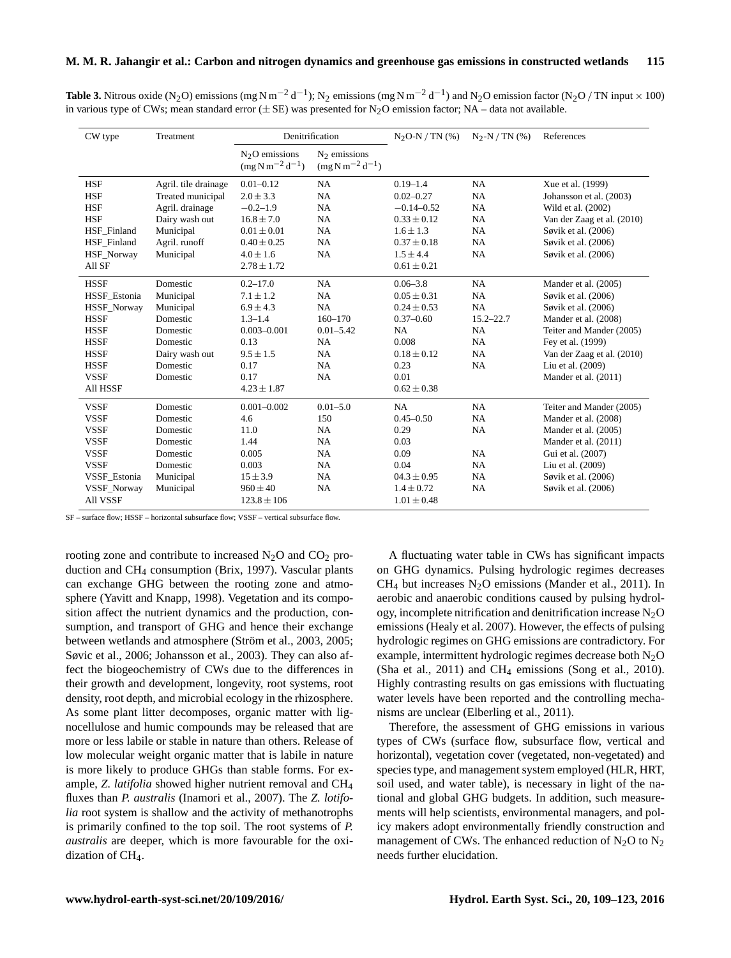**Table 3.** Nitrous oxide (N<sub>2</sub>O) emissions (mg N m<sup>-2</sup> d<sup>-1</sup>); N<sub>2</sub> emissions (mg N m<sup>-2</sup> d<sup>-1</sup>) and N<sub>2</sub>O emission factor (N<sub>2</sub>O / TN input × 100) in various type of CWs; mean standard error  $(\pm SE)$  was presented for N<sub>2</sub>O emission factor; NA – data not available.

| CW type<br>Treatment |                      | Denitrification                                                       |                                              | $N_2O-N / TN (%)$ | $N_2-N$ / TN $(\% )$ | References                 |
|----------------------|----------------------|-----------------------------------------------------------------------|----------------------------------------------|-------------------|----------------------|----------------------------|
|                      |                      | $N2O$ emissions<br>$\left(\text{mg N m}^{-2} \, \text{d}^{-1}\right)$ | $N_2$ emissions<br>$(mg\,N\,m^{-2}\,d^{-1})$ |                   |                      |                            |
| <b>HSF</b>           | Agril. tile drainage | $0.01 - 0.12$                                                         | NA                                           | $0.19 - 1.4$      | <b>NA</b>            | Xue et al. (1999)          |
| <b>HSF</b>           | Treated municipal    | $2.0 \pm 3.3$                                                         | <b>NA</b>                                    | $0.02 - 0.27$     | <b>NA</b>            | Johansson et al. (2003)    |
| <b>HSF</b>           | Agril. drainage      | $-0.2 - 1.9$                                                          | <b>NA</b>                                    | $-0.14 - 0.52$    | <b>NA</b>            | Wild et al. (2002)         |
| <b>HSF</b>           | Dairy wash out       | $16.8 \pm 7.0$                                                        | NA                                           | $0.33 \pm 0.12$   | <b>NA</b>            | Van der Zaag et al. (2010) |
| HSF_Finland          | Municipal            | $0.01 \pm 0.01$                                                       | <b>NA</b>                                    | $1.6 \pm 1.3$     | <b>NA</b>            | Søvik et al. (2006)        |
| HSF Finland          | Agril. runoff        | $0.40 \pm 0.25$                                                       | <b>NA</b>                                    | $0.37 \pm 0.18$   | NA                   | Søvik et al. (2006)        |
| HSF_Norway           | Municipal            | $4.0 \pm 1.6$                                                         | <b>NA</b>                                    | $1.5 \pm 4.4$     | <b>NA</b>            | Søvik et al. (2006)        |
| All SF               |                      | $2.78 \pm 1.72$                                                       |                                              | $0.61 \pm 0.21$   |                      |                            |
| <b>HSSF</b>          | Domestic             | $0.2 - 17.0$                                                          | NA                                           | $0.06 - 3.8$      | NA                   | Mander et al. (2005)       |
| HSSF_Estonia         | Municipal            | $7.1 \pm 1.2$                                                         | NA                                           | $0.05 \pm 0.31$   | NA                   | Søvik et al. (2006)        |
| HSSF_Norway          | Municipal            | $6.9 \pm 4.3$                                                         | <b>NA</b>                                    | $0.24 \pm 0.53$   | NA                   | Søvik et al. $(2006)$      |
| <b>HSSF</b>          | Domestic             | $1.3 - 1.4$                                                           | $160 - 170$                                  | $0.37 - 0.60$     | $15.2 - 22.7$        | Mander et al. (2008)       |
| <b>HSSF</b>          | Domestic             | $0.003 - 0.001$                                                       | $0.01 - 5.42$                                | <b>NA</b>         | <b>NA</b>            | Teiter and Mander (2005)   |
| <b>HSSF</b>          | Domestic             | 0.13                                                                  | NA                                           | 0.008             | <b>NA</b>            | Fey et al. (1999)          |
| <b>HSSF</b>          | Dairy wash out       | $9.5 \pm 1.5$                                                         | <b>NA</b>                                    | $0.18 \pm 0.12$   | NA                   | Van der Zaag et al. (2010) |
| <b>HSSF</b>          | Domestic             | 0.17                                                                  | <b>NA</b>                                    | 0.23              | <b>NA</b>            | Liu et al. (2009)          |
| <b>VSSF</b>          | Domestic             | 0.17                                                                  | <b>NA</b>                                    | 0.01              |                      | Mander et al. (2011)       |
| All HSSF             |                      | $4.23 \pm 1.87$                                                       |                                              | $0.62 \pm 0.38$   |                      |                            |
| <b>VSSF</b>          | Domestic             | $0.001 - 0.002$                                                       | $0.01 - 5.0$                                 | <b>NA</b>         | <b>NA</b>            | Teiter and Mander (2005)   |
| <b>VSSF</b>          | Domestic             | 4.6                                                                   | 150                                          | $0.45 - 0.50$     | <b>NA</b>            | Mander et al. (2008)       |
| <b>VSSF</b>          | Domestic             | 11.0                                                                  | <b>NA</b>                                    | 0.29              | <b>NA</b>            | Mander et al. (2005)       |
| <b>VSSF</b>          | Domestic             | 1.44                                                                  | <b>NA</b>                                    | 0.03              |                      | Mander et al. (2011)       |
| <b>VSSF</b>          | Domestic             | 0.005                                                                 | <b>NA</b>                                    | 0.09              | NA                   | Gui et al. (2007)          |
| <b>VSSF</b>          | Domestic             | 0.003                                                                 | <b>NA</b>                                    | 0.04              | NA                   | Liu et al. (2009)          |
| VSSF_Estonia         | Municipal            | $15 \pm 3.9$                                                          | <b>NA</b>                                    | $04.3 \pm 0.95$   | NA                   | Søvik et al. $(2006)$      |
| VSSF_Norway          | Municipal            | $960 \pm 40$                                                          | <b>NA</b>                                    | $1.4 \pm 0.72$    | <b>NA</b>            | Søvik et al. (2006)        |
| All VSSF             |                      | $123.8 \pm 106$                                                       |                                              | $1.01 \pm 0.48$   |                      |                            |

SF – surface flow; HSSF – horizontal subsurface flow; VSSF – vertical subsurface flow.

rooting zone and contribute to increased  $N_2O$  and  $CO_2$  production and CH<sup>4</sup> consumption (Brix, 1997). Vascular plants can exchange GHG between the rooting zone and atmosphere (Yavitt and Knapp, 1998). Vegetation and its composition affect the nutrient dynamics and the production, consumption, and transport of GHG and hence their exchange between wetlands and atmosphere (Ström et al., 2003, 2005; Søvic et al., 2006; Johansson et al., 2003). They can also affect the biogeochemistry of CWs due to the differences in their growth and development, longevity, root systems, root density, root depth, and microbial ecology in the rhizosphere. As some plant litter decomposes, organic matter with lignocellulose and humic compounds may be released that are more or less labile or stable in nature than others. Release of low molecular weight organic matter that is labile in nature is more likely to produce GHGs than stable forms. For example, *Z. latifolia* showed higher nutrient removal and CH<sup>4</sup> fluxes than *P. australis* (Inamori et al., 2007). The *Z. lotifolia* root system is shallow and the activity of methanotrophs is primarily confined to the top soil. The root systems of *P. australis* are deeper, which is more favourable for the oxidization of CH<sub>4</sub>.

A fluctuating water table in CWs has significant impacts on GHG dynamics. Pulsing hydrologic regimes decreases  $CH<sub>4</sub>$  but increases N<sub>2</sub>O emissions (Mander et al., 2011). In aerobic and anaerobic conditions caused by pulsing hydrology, incomplete nitrification and denitrification increase  $N_2O$ emissions (Healy et al. 2007). However, the effects of pulsing hydrologic regimes on GHG emissions are contradictory. For example, intermittent hydrologic regimes decrease both  $N_2O$ (Sha et al., 2011) and  $CH_4$  emissions (Song et al., 2010). Highly contrasting results on gas emissions with fluctuating water levels have been reported and the controlling mechanisms are unclear (Elberling et al., 2011).

Therefore, the assessment of GHG emissions in various types of CWs (surface flow, subsurface flow, vertical and horizontal), vegetation cover (vegetated, non-vegetated) and species type, and management system employed (HLR, HRT, soil used, and water table), is necessary in light of the national and global GHG budgets. In addition, such measurements will help scientists, environmental managers, and policy makers adopt environmentally friendly construction and management of CWs. The enhanced reduction of  $N_2O$  to  $N_2$ needs further elucidation.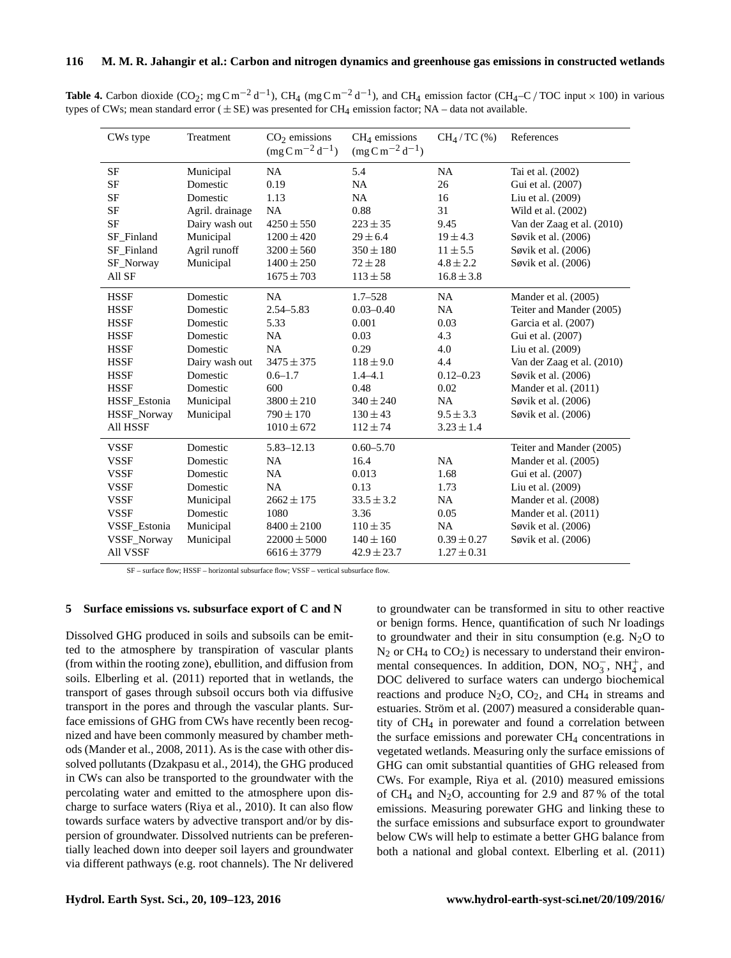| CW <sub>s</sub> type | Treatment       | $CO2$ emissions<br>$\left(\text{mg C m}^{-2} \, \text{d}^{-1}\right)$ | $CH4$ emissions<br>$\left(\text{mg C m}^{-2}\text{d}^{-1}\right)$ | $CH4/TC$ (%)    | References                 |
|----------------------|-----------------|-----------------------------------------------------------------------|-------------------------------------------------------------------|-----------------|----------------------------|
| SF                   | Municipal       | NA                                                                    | 5.4                                                               | <b>NA</b>       | Tai et al. (2002)          |
| <b>SF</b>            | Domestic        | 0.19                                                                  | NA                                                                | 26              | Gui et al. (2007)          |
| SF                   | Domestic        | 1.13                                                                  | <b>NA</b>                                                         | 16              | Liu et al. (2009)          |
| SF                   | Agril. drainage | NA                                                                    | 0.88                                                              | 31              | Wild et al. (2002)         |
| SF                   | Dairy wash out  | $4250 \pm 550$                                                        | $223 \pm 35$                                                      | 9.45            | Van der Zaag et al. (2010) |
| SF Finland           | Municipal       | $1200 \pm 420$                                                        | $29 \pm 6.4$                                                      | $19 \pm 4.3$    | Søvik et al. (2006)        |
| SF_Finland           | Agril runoff    | $3200 \pm 560$                                                        | $350 \pm 180$                                                     | $11 \pm 5.5$    | Søvik et al. (2006)        |
| SF_Norway            | Municipal       | $1400 \pm 250$                                                        | $72 \pm 28$                                                       | $4.8 \pm 2.2$   | Søvik et al. (2006)        |
| All SF               |                 | $1675 \pm 703$                                                        | $113 \pm 58$                                                      | $16.8 \pm 3.8$  |                            |
| <b>HSSF</b>          | Domestic        | NA                                                                    | $1.7 - 528$                                                       | NA              | Mander et al. (2005)       |
| <b>HSSF</b>          | Domestic        | $2.54 - 5.83$                                                         | $0.03 - 0.40$                                                     | NA              | Teiter and Mander (2005)   |
| <b>HSSF</b>          | Domestic        | 5.33                                                                  | 0.001                                                             | 0.03            | Garcia et al. (2007)       |
| <b>HSSF</b>          | Domestic        | NA                                                                    | 0.03                                                              | 4.3             | Gui et al. (2007)          |
| <b>HSSF</b>          | Domestic        | NA                                                                    | 0.29                                                              | 4.0             | Liu et al. (2009)          |
| <b>HSSF</b>          | Dairy wash out  | $3475 \pm 375$                                                        | $118 \pm 9.0$                                                     | 4.4             | Van der Zaag et al. (2010) |
| <b>HSSF</b>          | Domestic        | $0.6 - 1.7$                                                           | $1.4 - 4.1$                                                       | $0.12 - 0.23$   | Søvik et al. (2006)        |
| <b>HSSF</b>          | Domestic        | 600                                                                   | 0.48                                                              | 0.02            | Mander et al. (2011)       |
| HSSF_Estonia         | Municipal       | $3800 \pm 210$                                                        | $340 \pm 240$                                                     | <b>NA</b>       | Søvik et al. (2006)        |
| HSSF_Norway          | Municipal       | $790 \pm 170$                                                         | $130 \pm 43$                                                      | $9.5 \pm 3.3$   | Søvik et al. (2006)        |
| <b>All HSSF</b>      |                 | $1010 \pm 672$                                                        | $112 \pm 74$                                                      | $3.23 \pm 1.4$  |                            |
| <b>VSSF</b>          | Domestic        | $5.83 - 12.13$                                                        | $0.60 - 5.70$                                                     |                 | Teiter and Mander (2005)   |
| <b>VSSF</b>          | Domestic        | NA                                                                    | 16.4                                                              | NA              | Mander et al. (2005)       |
| <b>VSSF</b>          | Domestic        | NA                                                                    | 0.013                                                             | 1.68            | Gui et al. (2007)          |
| <b>VSSF</b>          | Domestic        | NA                                                                    | 0.13                                                              | 1.73            | Liu et al. (2009)          |
| <b>VSSF</b>          | Municipal       | $2662 \pm 175$                                                        | $33.5 \pm 3.2$                                                    | NA              | Mander et al. (2008)       |
| <b>VSSF</b>          | Domestic        | 1080                                                                  | 3.36                                                              | 0.05            | Mander et al. (2011)       |
| VSSF_Estonia         | Municipal       | $8400 \pm 2100$                                                       | $110 \pm 35$                                                      | <b>NA</b>       | Søvik et al. (2006)        |
| VSSF_Norway          | Municipal       | $22000 \pm 5000$                                                      | $140 \pm 160$                                                     | $0.39 \pm 0.27$ | Søvik et al. (2006)        |
| <b>All VSSF</b>      |                 | $6616 \pm 3779$                                                       | $42.9 \pm 23.7$                                                   | $1.27 \pm 0.31$ |                            |

**Table 4.** Carbon dioxide (CO<sub>2</sub>; mg C m<sup>-2</sup> d<sup>-1</sup>), CH<sub>4</sub> (mg C m<sup>-2</sup> d<sup>-1</sup>), and CH<sub>4</sub> emission factor (CH<sub>4</sub>-C / TOC input × 100) in various types of CWs; mean standard error  $(\pm SE)$  was presented for CH<sub>4</sub> emission factor; NA – data not available.

SF – surface flow; HSSF – horizontal subsurface flow; VSSF – vertical subsurface flow.

# **5 Surface emissions vs. subsurface export of C and N**

Dissolved GHG produced in soils and subsoils can be emitted to the atmosphere by transpiration of vascular plants (from within the rooting zone), ebullition, and diffusion from soils. Elberling et al. (2011) reported that in wetlands, the transport of gases through subsoil occurs both via diffusive transport in the pores and through the vascular plants. Surface emissions of GHG from CWs have recently been recognized and have been commonly measured by chamber methods (Mander et al., 2008, 2011). As is the case with other dissolved pollutants (Dzakpasu et al., 2014), the GHG produced in CWs can also be transported to the groundwater with the percolating water and emitted to the atmosphere upon discharge to surface waters (Riya et al., 2010). It can also flow towards surface waters by advective transport and/or by dispersion of groundwater. Dissolved nutrients can be preferentially leached down into deeper soil layers and groundwater via different pathways (e.g. root channels). The Nr delivered to groundwater can be transformed in situ to other reactive or benign forms. Hence, quantification of such Nr loadings to groundwater and their in situ consumption (e.g.  $N_2O$  to  $N_2$  or CH<sub>4</sub> to CO<sub>2</sub>) is necessary to understand their environmental consequences. In addition, DON,  $NO_3^-$ ,  $NH_4^+$ , and DOC delivered to surface waters can undergo biochemical reactions and produce  $N_2O$ ,  $CO_2$ , and  $CH_4$  in streams and estuaries. Ström et al. (2007) measured a considerable quantity of CH<sup>4</sup> in porewater and found a correlation between the surface emissions and porewater  $CH<sub>4</sub>$  concentrations in vegetated wetlands. Measuring only the surface emissions of GHG can omit substantial quantities of GHG released from CWs. For example, Riya et al. (2010) measured emissions of  $CH_4$  and N<sub>2</sub>O, accounting for 2.9 and 87% of the total emissions. Measuring porewater GHG and linking these to the surface emissions and subsurface export to groundwater below CWs will help to estimate a better GHG balance from both a national and global context. Elberling et al. (2011)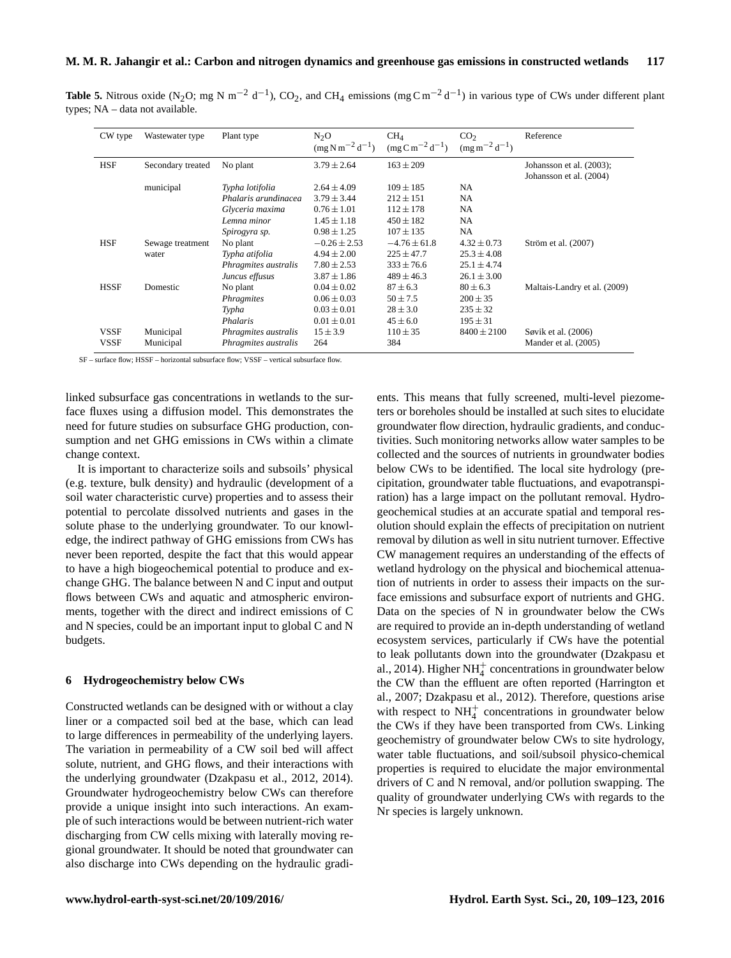**Table 5.** Nitrous oxide (N<sub>2</sub>O; mg N m<sup>-2</sup> d<sup>-1</sup>), CO<sub>2</sub>, and CH<sub>4</sub> emissions (mg C m<sup>-2</sup> d<sup>-1</sup>) in various type of CWs under different plant types; NA – data not available.

| CW type     | Wastewater type   | Plant type           | $N_2O$<br>$\rm (mg\,N\,m^{-2}\,d^{-1})$ | $CH_4$<br>$\left(\text{mg C m}^{-2}\text{d}^{-1}\right)$ | CO <sub>2</sub><br>$(mg\,m^{-2}\,d^{-1})$ | Reference                                           |
|-------------|-------------------|----------------------|-----------------------------------------|----------------------------------------------------------|-------------------------------------------|-----------------------------------------------------|
| <b>HSF</b>  | Secondary treated | No plant             | $3.79 \pm 2.64$                         | $163 \pm 209$                                            |                                           | Johansson et al. (2003);<br>Johansson et al. (2004) |
|             | municipal         | Typha lotifolia      | $2.64 \pm 4.09$                         | $109 \pm 185$                                            | NA                                        |                                                     |
|             |                   | Phalaris arundinacea | $3.79 \pm 3.44$                         | $212 \pm 151$                                            | <b>NA</b>                                 |                                                     |
|             |                   | Glyceria maxima      | $0.76 \pm 1.01$                         | $112 \pm 178$                                            | <b>NA</b>                                 |                                                     |
|             |                   | Lemna minor          | $1.45 \pm 1.18$                         | $450 \pm 182$                                            | <b>NA</b>                                 |                                                     |
|             |                   | Spirogyra sp.        | $0.98 \pm 1.25$                         | $107 \pm 135$                                            | <b>NA</b>                                 |                                                     |
| <b>HSF</b>  | Sewage treatment  | No plant             | $-0.26 \pm 2.53$                        | $-4.76 \pm 61.8$                                         | $4.32 \pm 0.73$                           | Ström et al. (2007)                                 |
|             | water             | Typha atifolia       | $4.94 \pm 2.00$                         | $225 \pm 47.7$                                           | $25.3 \pm 4.08$                           |                                                     |
|             |                   | Phragmites australis | $7.80 \pm 2.53$                         | $333 \pm 76.6$                                           | $25.1 \pm 4.74$                           |                                                     |
|             |                   | Juncus effusus       | $3.87 \pm 1.86$                         | $489 \pm 46.3$                                           | $26.1 \pm 3.00$                           |                                                     |
| <b>HSSF</b> | Domestic          | No plant             | $0.04 \pm 0.02$                         | $87 \pm 6.3$                                             | $80 \pm 6.3$                              | Maltais-Landry et al. (2009)                        |
|             |                   | Phragmites           | $0.06 \pm 0.03$                         | $50 \pm 7.5$                                             | $200 \pm 35$                              |                                                     |
|             |                   | Typha                | $0.03 \pm 0.01$                         | $28 \pm 3.0$                                             | $235 \pm 32$                              |                                                     |
|             |                   | <b>Phalaris</b>      | $0.01 \pm 0.01$                         | $45 \pm 6.0$                                             | $195 \pm 31$                              |                                                     |
| <b>VSSF</b> | Municipal         | Phragmites australis | $15 \pm 3.9$                            | $110 \pm 35$                                             | $8400 \pm 2100$                           | Søvik et al. $(2006)$                               |
| <b>VSSF</b> | Municipal         | Phragmites australis | 264                                     | 384                                                      |                                           | Mander et al. (2005)                                |

SF – surface flow; HSSF – horizontal subsurface flow; VSSF – vertical subsurface flow.

linked subsurface gas concentrations in wetlands to the surface fluxes using a diffusion model. This demonstrates the need for future studies on subsurface GHG production, consumption and net GHG emissions in CWs within a climate change context.

It is important to characterize soils and subsoils' physical (e.g. texture, bulk density) and hydraulic (development of a soil water characteristic curve) properties and to assess their potential to percolate dissolved nutrients and gases in the solute phase to the underlying groundwater. To our knowledge, the indirect pathway of GHG emissions from CWs has never been reported, despite the fact that this would appear to have a high biogeochemical potential to produce and exchange GHG. The balance between N and C input and output flows between CWs and aquatic and atmospheric environments, together with the direct and indirect emissions of C and N species, could be an important input to global C and N budgets.

#### **6 Hydrogeochemistry below CWs**

Constructed wetlands can be designed with or without a clay liner or a compacted soil bed at the base, which can lead to large differences in permeability of the underlying layers. The variation in permeability of a CW soil bed will affect solute, nutrient, and GHG flows, and their interactions with the underlying groundwater (Dzakpasu et al., 2012, 2014). Groundwater hydrogeochemistry below CWs can therefore provide a unique insight into such interactions. An example of such interactions would be between nutrient-rich water discharging from CW cells mixing with laterally moving regional groundwater. It should be noted that groundwater can also discharge into CWs depending on the hydraulic gradients. This means that fully screened, multi-level piezometers or boreholes should be installed at such sites to elucidate groundwater flow direction, hydraulic gradients, and conductivities. Such monitoring networks allow water samples to be collected and the sources of nutrients in groundwater bodies below CWs to be identified. The local site hydrology (precipitation, groundwater table fluctuations, and evapotranspiration) has a large impact on the pollutant removal. Hydrogeochemical studies at an accurate spatial and temporal resolution should explain the effects of precipitation on nutrient removal by dilution as well in situ nutrient turnover. Effective CW management requires an understanding of the effects of wetland hydrology on the physical and biochemical attenuation of nutrients in order to assess their impacts on the surface emissions and subsurface export of nutrients and GHG. Data on the species of N in groundwater below the CWs are required to provide an in-depth understanding of wetland ecosystem services, particularly if CWs have the potential to leak pollutants down into the groundwater (Dzakpasu et al., 2014). Higher  $NH<sub>4</sub><sup>+</sup>$  concentrations in groundwater below the CW than the effluent are often reported (Harrington et al., 2007; Dzakpasu et al., 2012). Therefore, questions arise with respect to  $NH<sub>4</sub><sup>+</sup>$  concentrations in groundwater below the CWs if they have been transported from CWs. Linking geochemistry of groundwater below CWs to site hydrology, water table fluctuations, and soil/subsoil physico-chemical properties is required to elucidate the major environmental drivers of C and N removal, and/or pollution swapping. The quality of groundwater underlying CWs with regards to the Nr species is largely unknown.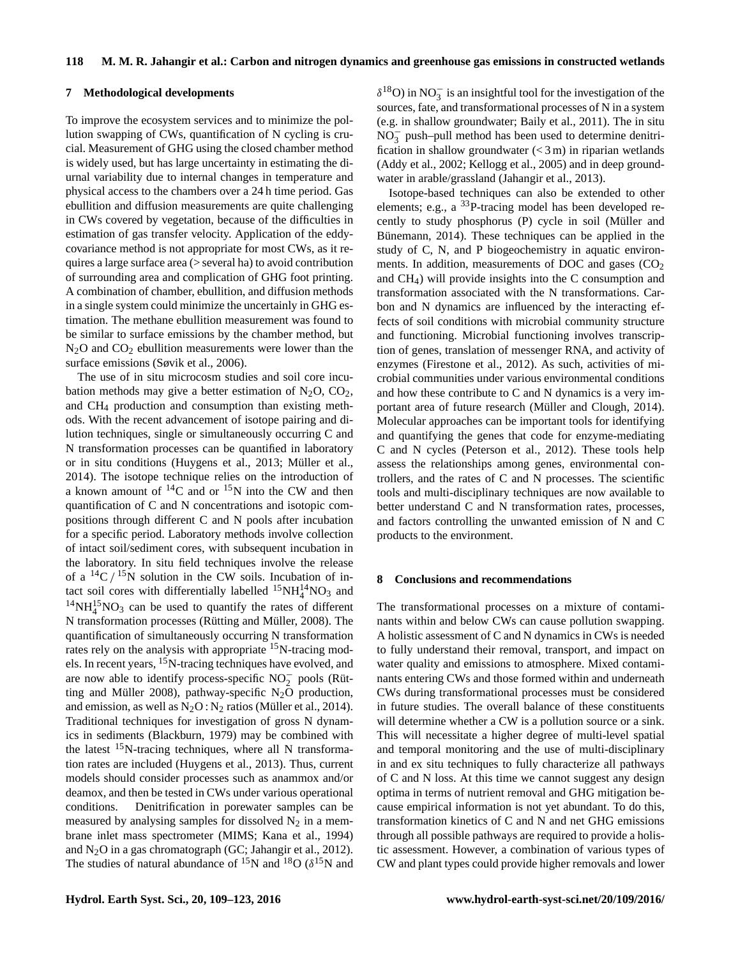#### **7 Methodological developments**

To improve the ecosystem services and to minimize the pollution swapping of CWs, quantification of N cycling is crucial. Measurement of GHG using the closed chamber method is widely used, but has large uncertainty in estimating the diurnal variability due to internal changes in temperature and physical access to the chambers over a 24 h time period. Gas ebullition and diffusion measurements are quite challenging in CWs covered by vegetation, because of the difficulties in estimation of gas transfer velocity. Application of the eddycovariance method is not appropriate for most CWs, as it requires a large surface area (> several ha) to avoid contribution of surrounding area and complication of GHG foot printing. A combination of chamber, ebullition, and diffusion methods in a single system could minimize the uncertainly in GHG estimation. The methane ebullition measurement was found to be similar to surface emissions by the chamber method, but  $N_2O$  and  $CO_2$  ebullition measurements were lower than the surface emissions (Søvik et al., 2006).

The use of in situ microcosm studies and soil core incubation methods may give a better estimation of  $N_2O$ ,  $CO_2$ , and CH<sup>4</sup> production and consumption than existing methods. With the recent advancement of isotope pairing and dilution techniques, single or simultaneously occurring C and N transformation processes can be quantified in laboratory or in situ conditions (Huygens et al., 2013; Müller et al., 2014). The isotope technique relies on the introduction of a known amount of  ${}^{14}C$  and or  ${}^{15}N$  into the CW and then quantification of C and N concentrations and isotopic compositions through different C and N pools after incubation for a specific period. Laboratory methods involve collection of intact soil/sediment cores, with subsequent incubation in the laboratory. In situ field techniques involve the release of a  $^{14}C / ^{15}N$  solution in the CW soils. Incubation of intact soil cores with differentially labelled  $^{15}NH_4^{14}NO_3$  and  $^{14}NH_4^{15}NO_3$  can be used to quantify the rates of different N transformation processes (Rütting and Müller, 2008). The quantification of simultaneously occurring N transformation rates rely on the analysis with appropriate  $15$ N-tracing models. In recent years, <sup>15</sup>N-tracing techniques have evolved, and are now able to identify process-specific  $NO<sub>2</sub><sup>-</sup>$  pools (Rütting and Müller 2008), pathway-specific  $N_2O$  production, and emission, as well as  $N_2O$ :  $N_2$  ratios (Müller et al., 2014). Traditional techniques for investigation of gross N dynamics in sediments (Blackburn, 1979) may be combined with the latest <sup>15</sup>N-tracing techniques, where all N transformation rates are included (Huygens et al., 2013). Thus, current models should consider processes such as anammox and/or deamox, and then be tested in CWs under various operational conditions. Denitrification in porewater samples can be measured by analysing samples for dissolved  $N_2$  in a membrane inlet mass spectrometer (MIMS; Kana et al., 1994) and N2O in a gas chromatograph (GC; Jahangir et al., 2012). The studies of natural abundance of <sup>15</sup>N and <sup>18</sup>O ( $\delta$ <sup>15</sup>N and

 $\delta^{18}$ O) in NO<sub>3</sub> is an insightful tool for the investigation of the sources, fate, and transformational processes of N in a system (e.g. in shallow groundwater; Baily et al., 2011). The in situ NO<sup>−</sup> 3 push–pull method has been used to determine denitrification in shallow groundwater  $(< 3 \,\mathrm{m})$  in riparian wetlands (Addy et al., 2002; Kellogg et al., 2005) and in deep groundwater in arable/grassland (Jahangir et al., 2013).

Isotope-based techniques can also be extended to other elements; e.g., a  $^{33}P$ -tracing model has been developed recently to study phosphorus (P) cycle in soil (Müller and Bünemann, 2014). These techniques can be applied in the study of C, N, and P biogeochemistry in aquatic environments. In addition, measurements of DOC and gases  $(CO<sub>2</sub>)$ and CH4) will provide insights into the C consumption and transformation associated with the N transformations. Carbon and N dynamics are influenced by the interacting effects of soil conditions with microbial community structure and functioning. Microbial functioning involves transcription of genes, translation of messenger RNA, and activity of enzymes (Firestone et al., 2012). As such, activities of microbial communities under various environmental conditions and how these contribute to C and N dynamics is a very important area of future research (Müller and Clough, 2014). Molecular approaches can be important tools for identifying and quantifying the genes that code for enzyme-mediating C and N cycles (Peterson et al., 2012). These tools help assess the relationships among genes, environmental controllers, and the rates of C and N processes. The scientific tools and multi-disciplinary techniques are now available to better understand C and N transformation rates, processes, and factors controlling the unwanted emission of N and C products to the environment.

#### **8 Conclusions and recommendations**

The transformational processes on a mixture of contaminants within and below CWs can cause pollution swapping. A holistic assessment of C and N dynamics in CWs is needed to fully understand their removal, transport, and impact on water quality and emissions to atmosphere. Mixed contaminants entering CWs and those formed within and underneath CWs during transformational processes must be considered in future studies. The overall balance of these constituents will determine whether a CW is a pollution source or a sink. This will necessitate a higher degree of multi-level spatial and temporal monitoring and the use of multi-disciplinary in and ex situ techniques to fully characterize all pathways of C and N loss. At this time we cannot suggest any design optima in terms of nutrient removal and GHG mitigation because empirical information is not yet abundant. To do this, transformation kinetics of C and N and net GHG emissions through all possible pathways are required to provide a holistic assessment. However, a combination of various types of CW and plant types could provide higher removals and lower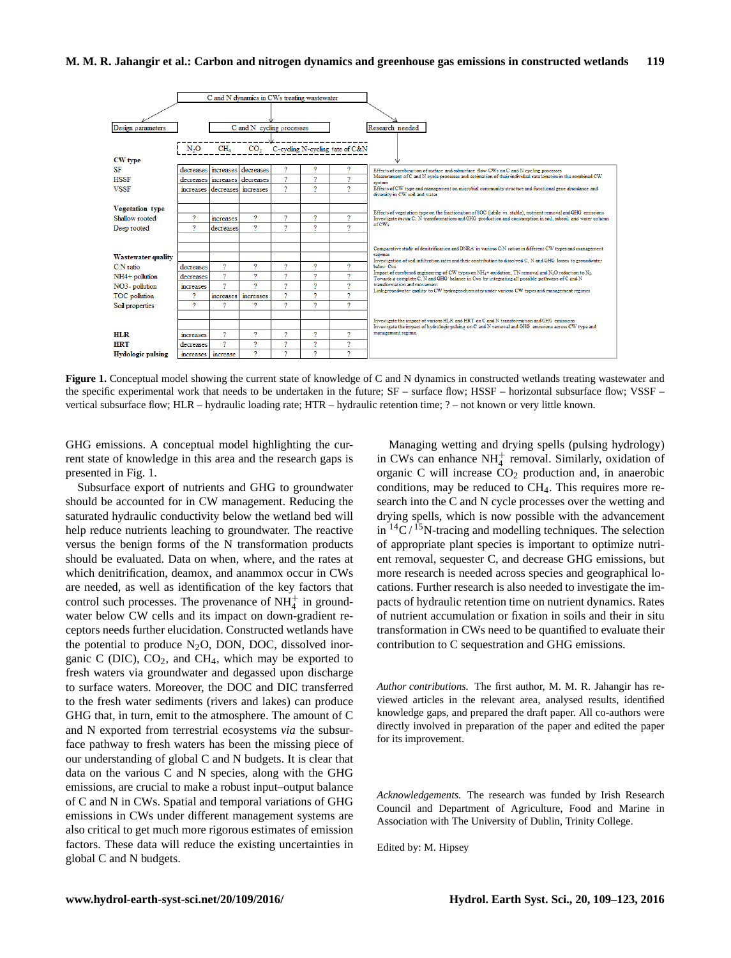

Figure 1. Conceptual model showing the current state of knowledge of C and N dynamics in constructed wetlands treating wastewater and the specific experimental work that needs to be undertaken in the future; SF – surface flow; HSSF – horizontal subsurface flow; VSSF – vertical subsurface flow; HLR – hydraulic loading rate; HTR – hydraulic retention time; ? – not known or very little known.

GHG emissions. A conceptual model highlighting the current state of knowledge in this area and the research gaps is presented in Fig. 1.

Subsurface export of nutrients and GHG to groundwater should be accounted for in CW management. Reducing the saturated hydraulic conductivity below the wetland bed will help reduce nutrients leaching to groundwater. The reactive versus the benign forms of the N transformation products should be evaluated. Data on when, where, and the rates at which denitrification, deamox, and anammox occur in CWs are needed, as well as identification of the key factors that control such processes. The provenance of  $NH<sub>4</sub><sup>+</sup>$  in groundwater below CW cells and its impact on down-gradient receptors needs further elucidation. Constructed wetlands have the potential to produce  $N_2O$ , DON, DOC, dissolved inorganic C (DIC),  $CO<sub>2</sub>$ , and CH<sub>4</sub>, which may be exported to fresh waters via groundwater and degassed upon discharge to surface waters. Moreover, the DOC and DIC transferred to the fresh water sediments (rivers and lakes) can produce GHG that, in turn, emit to the atmosphere. The amount of C and N exported from terrestrial ecosystems *via* the subsurface pathway to fresh waters has been the missing piece of our understanding of global C and N budgets. It is clear that data on the various C and N species, along with the GHG emissions, are crucial to make a robust input–output balance of C and N in CWs. Spatial and temporal variations of GHG emissions in CWs under different management systems are also critical to get much more rigorous estimates of emission factors. These data will reduce the existing uncertainties in global C and N budgets.

Managing wetting and drying spells (pulsing hydrology) in CWs can enhance  $NH<sub>4</sub><sup>+</sup>$  removal. Similarly, oxidation of organic C will increase  $CO<sub>2</sub>$  production and, in anaerobic conditions, may be reduced to CH4. This requires more research into the C and N cycle processes over the wetting and drying spells, which is now possible with the advancement in  ${}^{14}C / {}^{15}N$ -tracing and modelling techniques. The selection of appropriate plant species is important to optimize nutrient removal, sequester C, and decrease GHG emissions, but more research is needed across species and geographical locations. Further research is also needed to investigate the impacts of hydraulic retention time on nutrient dynamics. Rates of nutrient accumulation or fixation in soils and their in situ transformation in CWs need to be quantified to evaluate their contribution to C sequestration and GHG emissions.

*Author contributions.* The first author, M. M. R. Jahangir has reviewed articles in the relevant area, analysed results, identified knowledge gaps, and prepared the draft paper. All co-authors were directly involved in preparation of the paper and edited the paper for its improvement.

*Acknowledgements.* The research was funded by Irish Research Council and Department of Agriculture, Food and Marine in Association with The University of Dublin, Trinity College.

Edited by: M. Hipsey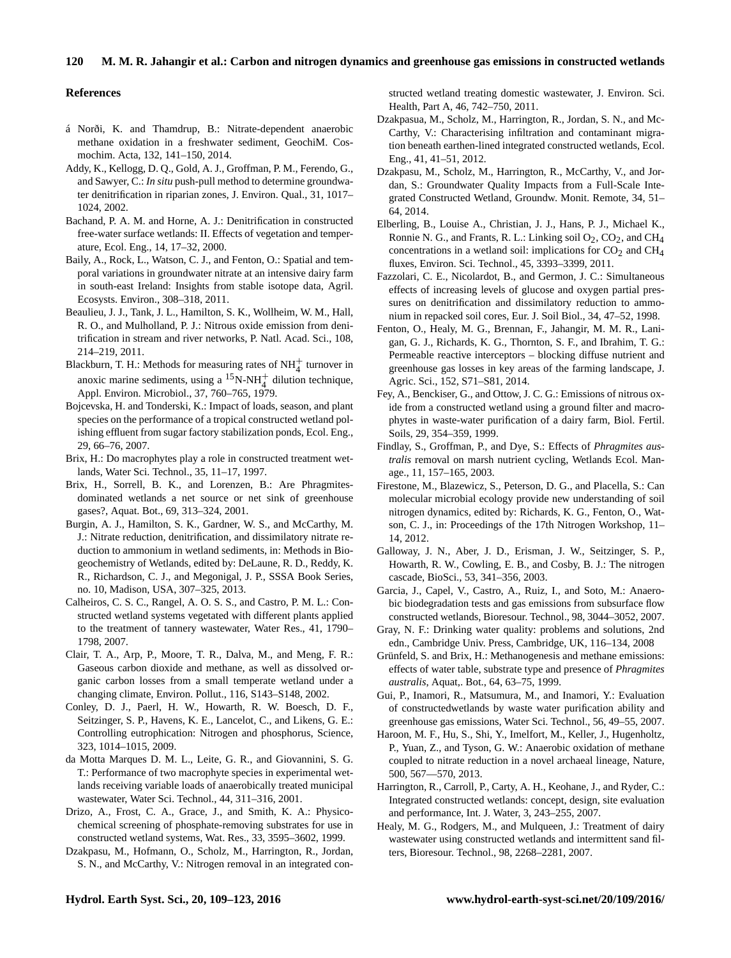#### **References**

- á Norði, K. and Thamdrup, B.: Nitrate-dependent anaerobic methane oxidation in a freshwater sediment, GeochiM. Cosmochim. Acta, 132, 141–150, 2014.
- Addy, K., Kellogg, D. Q., Gold, A. J., Groffman, P. M., Ferendo, G., and Sawyer, C.: *In situ* push-pull method to determine groundwater denitrification in riparian zones, J. Environ. Qual., 31, 1017– 1024, 2002.
- Bachand, P. A. M. and Horne, A. J.: Denitrification in constructed free-water surface wetlands: II. Effects of vegetation and temperature, Ecol. Eng., 14, 17–32, 2000.
- Baily, A., Rock, L., Watson, C. J., and Fenton, O.: Spatial and temporal variations in groundwater nitrate at an intensive dairy farm in south-east Ireland: Insights from stable isotope data, Agril. Ecosysts. Environ., 308–318, 2011.
- Beaulieu, J. J., Tank, J. L., Hamilton, S. K., Wollheim, W. M., Hall, R. O., and Mulholland, P. J.: Nitrous oxide emission from denitrification in stream and river networks, P. Natl. Acad. Sci., 108, 214–219, 2011.
- Blackburn, T. H.: Methods for measuring rates of  $NH<sub>4</sub><sup>+</sup>$  turnover in anoxic marine sediments, using a  ${}^{15}N$ -NH<sup>+</sup> dilution technique, Appl. Environ. Microbiol., 37, 760–765, 1979.
- Bojcevska, H. and Tonderski, K.: Impact of loads, season, and plant species on the performance of a tropical constructed wetland polishing effluent from sugar factory stabilization ponds, Ecol. Eng., 29, 66–76, 2007.
- Brix, H.: Do macrophytes play a role in constructed treatment wetlands, Water Sci. Technol., 35, 11–17, 1997.
- Brix, H., Sorrell, B. K., and Lorenzen, B.: Are Phragmitesdominated wetlands a net source or net sink of greenhouse gases?, Aquat. Bot., 69, 313–324, 2001.
- Burgin, A. J., Hamilton, S. K., Gardner, W. S., and McCarthy, M. J.: Nitrate reduction, denitrification, and dissimilatory nitrate reduction to ammonium in wetland sediments, in: Methods in Biogeochemistry of Wetlands, edited by: DeLaune, R. D., Reddy, K. R., Richardson, C. J., and Megonigal, J. P., SSSA Book Series, no. 10, Madison, USA, 307–325, 2013.
- Calheiros, C. S. C., Rangel, A. O. S. S., and Castro, P. M. L.: Constructed wetland systems vegetated with different plants applied to the treatment of tannery wastewater, Water Res., 41, 1790– 1798, 2007.
- Clair, T. A., Arp, P., Moore, T. R., Dalva, M., and Meng, F. R.: Gaseous carbon dioxide and methane, as well as dissolved organic carbon losses from a small temperate wetland under a changing climate, Environ. Pollut., 116, S143–S148, 2002.
- Conley, D. J., Paerl, H. W., Howarth, R. W. Boesch, D. F., Seitzinger, S. P., Havens, K. E., Lancelot, C., and Likens, G. E.: Controlling eutrophication: Nitrogen and phosphorus, Science, 323, 1014–1015, 2009.
- da Motta Marques D. M. L., Leite, G. R., and Giovannini, S. G. T.: Performance of two macrophyte species in experimental wetlands receiving variable loads of anaerobically treated municipal wastewater, Water Sci. Technol., 44, 311–316, 2001.
- Drizo, A., Frost, C. A., Grace, J., and Smith, K. A.: Physicochemical screening of phosphate-removing substrates for use in constructed wetland systems, Wat. Res., 33, 3595–3602, 1999.
- Dzakpasu, M., Hofmann, O., Scholz, M., Harrington, R., Jordan, S. N., and McCarthy, V.: Nitrogen removal in an integrated con-

structed wetland treating domestic wastewater, J. Environ. Sci. Health, Part A, 46, 742–750, 2011.

- Dzakpasua, M., Scholz, M., Harrington, R., Jordan, S. N., and Mc-Carthy, V.: Characterising infiltration and contaminant migration beneath earthen-lined integrated constructed wetlands, Ecol. Eng., 41, 41–51, 2012.
- Dzakpasu, M., Scholz, M., Harrington, R., McCarthy, V., and Jordan, S.: Groundwater Quality Impacts from a Full-Scale Integrated Constructed Wetland, Groundw. Monit. Remote, 34, 51– 64, 2014.
- Elberling, B., Louise A., Christian, J. J., Hans, P. J., Michael K., Ronnie N. G., and Frants, R. L.: Linking soil  $O_2$ ,  $CO_2$ , and  $CH_4$ concentrations in a wetland soil: implications for  $CO<sub>2</sub>$  and  $CH<sub>4</sub>$ fluxes, Environ. Sci. Technol., 45, 3393–3399, 2011.
- Fazzolari, C. E., Nicolardot, B., and Germon, J. C.: Simultaneous effects of increasing levels of glucose and oxygen partial pressures on denitrification and dissimilatory reduction to ammonium in repacked soil cores, Eur. J. Soil Biol., 34, 47–52, 1998.
- Fenton, O., Healy, M. G., Brennan, F., Jahangir, M. M. R., Lanigan, G. J., Richards, K. G., Thornton, S. F., and Ibrahim, T. G.: Permeable reactive interceptors – blocking diffuse nutrient and greenhouse gas losses in key areas of the farming landscape, J. Agric. Sci., 152, S71–S81, 2014.
- Fey, A., Benckiser, G., and Ottow, J. C. G.: Emissions of nitrous oxide from a constructed wetland using a ground filter and macrophytes in waste-water purification of a dairy farm, Biol. Fertil. Soils, 29, 354–359, 1999.
- Findlay, S., Groffman, P., and Dye, S.: Effects of *Phragmites australis* removal on marsh nutrient cycling, Wetlands Ecol. Manage., 11, 157–165, 2003.
- Firestone, M., Blazewicz, S., Peterson, D. G., and Placella, S.: Can molecular microbial ecology provide new understanding of soil nitrogen dynamics, edited by: Richards, K. G., Fenton, O., Watson, C. J., in: Proceedings of the 17th Nitrogen Workshop, 11– 14, 2012.
- Galloway, J. N., Aber, J. D., Erisman, J. W., Seitzinger, S. P., Howarth, R. W., Cowling, E. B., and Cosby, B. J.: The nitrogen cascade, BioSci., 53, 341–356, 2003.
- Garcia, J., Capel, V., Castro, A., Ruiz, I., and Soto, M.: Anaerobic biodegradation tests and gas emissions from subsurface flow constructed wetlands, Bioresour. Technol., 98, 3044–3052, 2007.
- Gray, N. F.: Drinking water quality: problems and solutions, 2nd edn., Cambridge Univ. Press, Cambridge, UK, 116–134, 2008
- Grünfeld, S. and Brix, H.: Methanogenesis and methane emissions: effects of water table, substrate type and presence of *Phragmites australis*, Aquat,. Bot., 64, 63–75, 1999.
- Gui, P., Inamori, R., Matsumura, M., and Inamori, Y.: Evaluation of constructedwetlands by waste water purification ability and greenhouse gas emissions, Water Sci. Technol., 56, 49–55, 2007.
- Haroon, M. F., Hu, S., Shi, Y., Imelfort, M., Keller, J., Hugenholtz, P., Yuan, Z., and Tyson, G. W.: Anaerobic oxidation of methane coupled to nitrate reduction in a novel archaeal lineage, Nature, 500, 567—570, 2013.
- Harrington, R., Carroll, P., Carty, A. H., Keohane, J., and Ryder, C.: Integrated constructed wetlands: concept, design, site evaluation and performance, Int. J. Water, 3, 243–255, 2007.
- Healy, M. G., Rodgers, M., and Mulqueen, J.: Treatment of dairy wastewater using constructed wetlands and intermittent sand filters, Bioresour. Technol., 98, 2268–2281, 2007.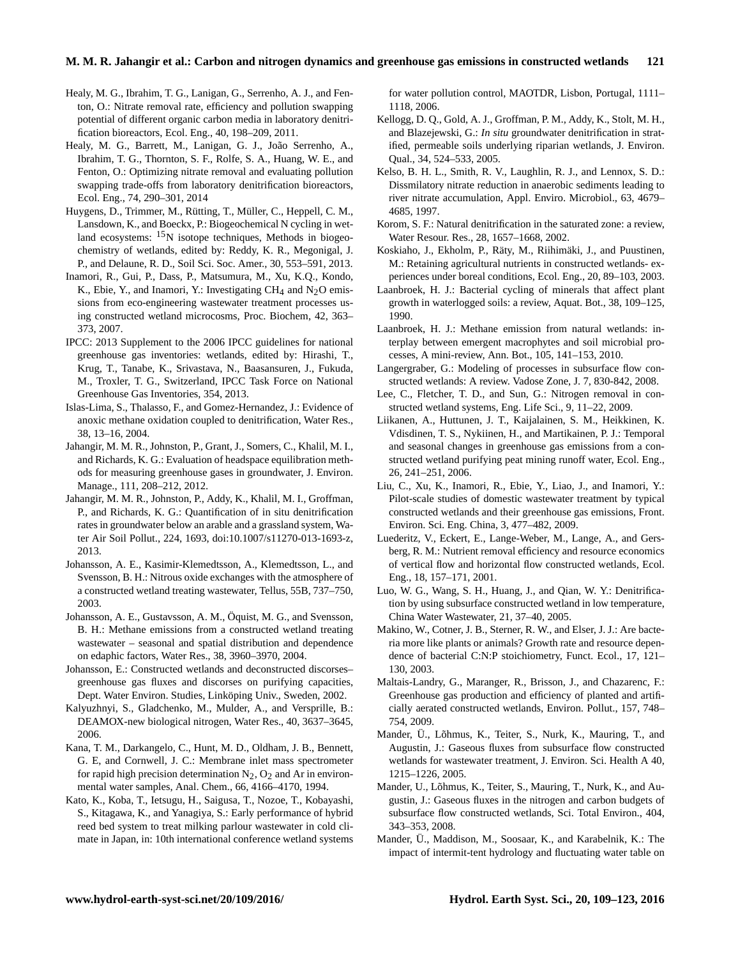- Healy, M. G., Ibrahim, T. G., Lanigan, G., Serrenho, A. J., and Fenton, O.: Nitrate removal rate, efficiency and pollution swapping potential of different organic carbon media in laboratory denitrification bioreactors, Ecol. Eng., 40, 198–209, 2011.
- Healy, M. G., Barrett, M., Lanigan, G. J., João Serrenho, A., Ibrahim, T. G., Thornton, S. F., Rolfe, S. A., Huang, W. E., and Fenton, O.: Optimizing nitrate removal and evaluating pollution swapping trade-offs from laboratory denitrification bioreactors, Ecol. Eng., 74, 290–301, 2014
- Huygens, D., Trimmer, M., Rütting, T., Müller, C., Heppell, C. M., Lansdown, K., and Boeckx, P.: Biogeochemical N cycling in wetland ecosystems: <sup>15</sup>N isotope techniques, Methods in biogeochemistry of wetlands, edited by: Reddy, K. R., Megonigal, J. P., and Delaune, R. D., Soil Sci. Soc. Amer., 30, 553–591, 2013.
- Inamori, R., Gui, P., Dass, P., Matsumura, M., Xu, K.Q., Kondo, K., Ebie, Y., and Inamori, Y.: Investigating  $CH_4$  and  $N_2O$  emissions from eco-engineering wastewater treatment processes using constructed wetland microcosms, Proc. Biochem, 42, 363– 373, 2007.
- IPCC: 2013 Supplement to the 2006 IPCC guidelines for national greenhouse gas inventories: wetlands, edited by: Hirashi, T., Krug, T., Tanabe, K., Srivastava, N., Baasansuren, J., Fukuda, M., Troxler, T. G., Switzerland, IPCC Task Force on National Greenhouse Gas Inventories, 354, 2013.
- Islas-Lima, S., Thalasso, F., and Gomez-Hernandez, J.: Evidence of anoxic methane oxidation coupled to denitrification, Water Res., 38, 13–16, 2004.
- Jahangir, M. M. R., Johnston, P., Grant, J., Somers, C., Khalil, M. I., and Richards, K. G.: Evaluation of headspace equilibration methods for measuring greenhouse gases in groundwater, J. Environ. Manage., 111, 208–212, 2012.
- Jahangir, M. M. R., Johnston, P., Addy, K., Khalil, M. I., Groffman, P., and Richards, K. G.: Quantification of in situ denitrification rates in groundwater below an arable and a grassland system, Water Air Soil Pollut., 224, 1693, doi[:10.1007/s11270-013-1693-z,](http://dx.doi.org/10.1007/s11270-013-1693-z) 2013.
- Johansson, A. E., Kasimir-Klemedtsson, A., Klemedtsson, L., and Svensson, B. H.: Nitrous oxide exchanges with the atmosphere of a constructed wetland treating wastewater, Tellus, 55B, 737–750, 2003.
- Johansson, A. E., Gustavsson, A. M., Öquist, M. G., and Svensson, B. H.: Methane emissions from a constructed wetland treating wastewater – seasonal and spatial distribution and dependence on edaphic factors, Water Res., 38, 3960–3970, 2004.
- Johansson, E.: Constructed wetlands and deconstructed discorses– greenhouse gas fluxes and discorses on purifying capacities, Dept. Water Environ. Studies, Linköping Univ., Sweden, 2002.
- Kalyuzhnyi, S., Gladchenko, M., Mulder, A., and Versprille, B.: DEAMOX-new biological nitrogen, Water Res., 40, 3637–3645, 2006.
- Kana, T. M., Darkangelo, C., Hunt, M. D., Oldham, J. B., Bennett, G. E, and Cornwell, J. C.: Membrane inlet mass spectrometer for rapid high precision determination  $N_2$ ,  $O_2$  and Ar in environmental water samples, Anal. Chem., 66, 4166–4170, 1994.
- Kato, K., Koba, T., Ietsugu, H., Saigusa, T., Nozoe, T., Kobayashi, S., Kitagawa, K., and Yanagiya, S.: Early performance of hybrid reed bed system to treat milking parlour wastewater in cold climate in Japan, in: 10th international conference wetland systems

for water pollution control, MAOTDR, Lisbon, Portugal, 1111– 1118, 2006.

- Kellogg, D. Q., Gold, A. J., Groffman, P. M., Addy, K., Stolt, M. H., and Blazejewski, G.: *In situ* groundwater denitrification in stratified, permeable soils underlying riparian wetlands, J. Environ. Qual., 34, 524–533, 2005.
- Kelso, B. H. L., Smith, R. V., Laughlin, R. J., and Lennox, S. D.: Dissmilatory nitrate reduction in anaerobic sediments leading to river nitrate accumulation, Appl. Enviro. Microbiol., 63, 4679– 4685, 1997.
- Korom, S. F.: Natural denitrification in the saturated zone: a review, Water Resour. Res., 28, 1657-1668, 2002.
- Koskiaho, J., Ekholm, P., Räty, M., Riihimäki, J., and Puustinen, M.: Retaining agricultural nutrients in constructed wetlands- experiences under boreal conditions, Ecol. Eng., 20, 89–103, 2003.
- Laanbroek, H. J.: Bacterial cycling of minerals that affect plant growth in waterlogged soils: a review, Aquat. Bot., 38, 109–125, 1990.
- Laanbroek, H. J.: Methane emission from natural wetlands: interplay between emergent macrophytes and soil microbial processes, A mini-review, Ann. Bot., 105, 141–153, 2010.
- Langergraber, G.: Modeling of processes in subsurface flow constructed wetlands: A review. Vadose Zone, J. 7, 830-842, 2008.
- Lee, C., Fletcher, T. D., and Sun, G.: Nitrogen removal in constructed wetland systems, Eng. Life Sci., 9, 11–22, 2009.
- Liikanen, A., Huttunen, J. T., Kaijalainen, S. M., Heikkinen, K. Vdisdinen, T. S., Nykiinen, H., and Martikainen, P. J.: Temporal and seasonal changes in greenhouse gas emissions from a constructed wetland purifying peat mining runoff water, Ecol. Eng., 26, 241–251, 2006.
- Liu, C., Xu, K., Inamori, R., Ebie, Y., Liao, J., and Inamori, Y.: Pilot-scale studies of domestic wastewater treatment by typical constructed wetlands and their greenhouse gas emissions, Front. Environ. Sci. Eng. China, 3, 477–482, 2009.
- Luederitz, V., Eckert, E., Lange-Weber, M., Lange, A., and Gersberg, R. M.: Nutrient removal efficiency and resource economics of vertical flow and horizontal flow constructed wetlands, Ecol. Eng., 18, 157–171, 2001.
- Luo, W. G., Wang, S. H., Huang, J., and Qian, W. Y.: Denitrification by using subsurface constructed wetland in low temperature, China Water Wastewater, 21, 37–40, 2005.
- Makino, W., Cotner, J. B., Sterner, R. W., and Elser, J. J.: Are bacteria more like plants or animals? Growth rate and resource dependence of bacterial C:N:P stoichiometry, Funct. Ecol., 17, 121– 130, 2003.
- Maltais-Landry, G., Maranger, R., Brisson, J., and Chazarenc, F.: Greenhouse gas production and efficiency of planted and artificially aerated constructed wetlands, Environ. Pollut., 157, 748– 754, 2009.
- Mander, Ü., Lõhmus, K., Teiter, S., Nurk, K., Mauring, T., and Augustin, J.: Gaseous fluxes from subsurface flow constructed wetlands for wastewater treatment, J. Environ. Sci. Health A 40, 1215–1226, 2005.
- Mander, U., Lõhmus, K., Teiter, S., Mauring, T., Nurk, K., and Augustin, J.: Gaseous fluxes in the nitrogen and carbon budgets of subsurface flow constructed wetlands, Sci. Total Environ., 404, 343–353, 2008.
- Mander, Ü., Maddison, M., Soosaar, K., and Karabelnik, K.: The impact of intermit-tent hydrology and fluctuating water table on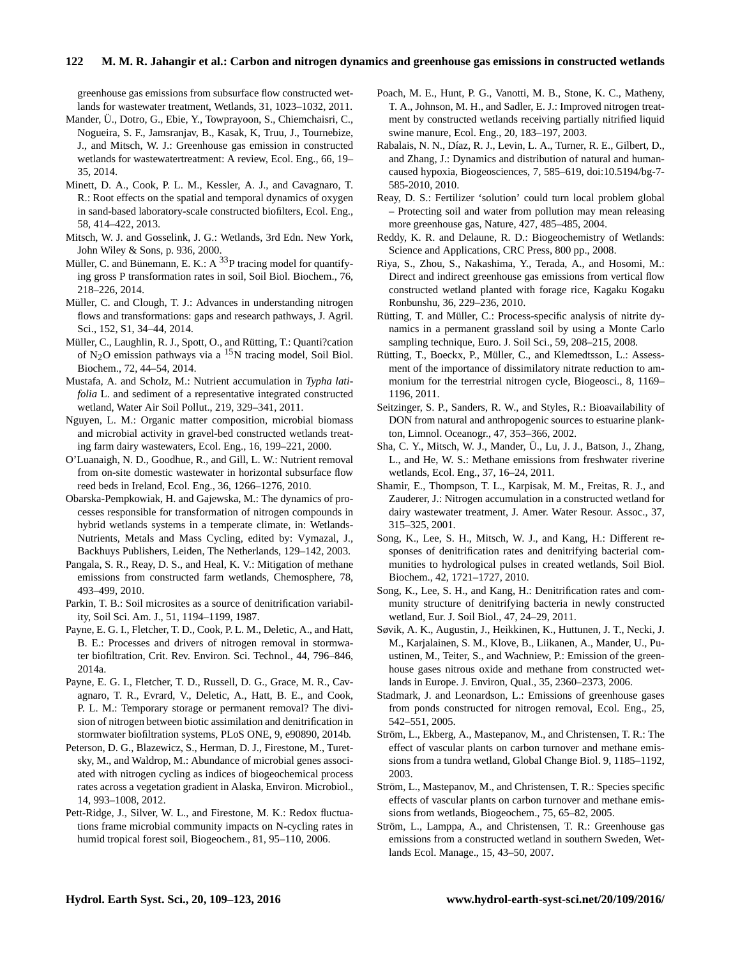greenhouse gas emissions from subsurface flow constructed wetlands for wastewater treatment, Wetlands, 31, 1023–1032, 2011.

- Mander, Ü., Dotro, G., Ebie, Y., Towprayoon, S., Chiemchaisri, C., Nogueira, S. F., Jamsranjav, B., Kasak, K, Truu, J., Tournebize, J., and Mitsch, W. J.: Greenhouse gas emission in constructed wetlands for wastewatertreatment: A review, Ecol. Eng., 66, 19– 35, 2014.
- Minett, D. A., Cook, P. L. M., Kessler, A. J., and Cavagnaro, T. R.: Root effects on the spatial and temporal dynamics of oxygen in sand-based laboratory-scale constructed biofilters, Ecol. Eng., 58, 414–422, 2013.
- Mitsch, W. J. and Gosselink, J. G.: Wetlands, 3rd Edn. New York, John Wiley & Sons, p. 936, 2000.
- Müller, C. and Bünemann, E. K.:  $A^{33}P$  tracing model for quantifying gross P transformation rates in soil, Soil Biol. Biochem., 76, 218–226, 2014.
- Müller, C. and Clough, T. J.: Advances in understanding nitrogen flows and transformations: gaps and research pathways, J. Agril. Sci., 152, S1, 34–44, 2014.
- Müller, C., Laughlin, R. J., Spott, O., and Rütting, T.: Quanti?cation of N2O emission pathways via a <sup>15</sup>N tracing model, Soil Biol. Biochem., 72, 44–54, 2014.
- Mustafa, A. and Scholz, M.: Nutrient accumulation in *Typha latifolia* L. and sediment of a representative integrated constructed wetland, Water Air Soil Pollut., 219, 329–341, 2011.
- Nguyen, L. M.: Organic matter composition, microbial biomass and microbial activity in gravel-bed constructed wetlands treating farm dairy wastewaters, Ecol. Eng., 16, 199–221, 2000.
- O'Luanaigh, N. D., Goodhue, R., and Gill, L. W.: Nutrient removal from on-site domestic wastewater in horizontal subsurface flow reed beds in Ireland, Ecol. Eng., 36, 1266–1276, 2010.
- Obarska-Pempkowiak, H. and Gajewska, M.: The dynamics of processes responsible for transformation of nitrogen compounds in hybrid wetlands systems in a temperate climate, in: Wetlands-Nutrients, Metals and Mass Cycling, edited by: Vymazal, J., Backhuys Publishers, Leiden, The Netherlands, 129–142, 2003.
- Pangala, S. R., Reay, D. S., and Heal, K. V.: Mitigation of methane emissions from constructed farm wetlands, Chemosphere, 78, 493–499, 2010.
- Parkin, T. B.: Soil microsites as a source of denitrification variability, Soil Sci. Am. J., 51, 1194–1199, 1987.
- Payne, E. G. I., Fletcher, T. D., Cook, P. L. M., Deletic, A., and Hatt, B. E.: Processes and drivers of nitrogen removal in stormwater biofiltration, Crit. Rev. Environ. Sci. Technol., 44, 796–846, 2014a.
- Payne, E. G. I., Fletcher, T. D., Russell, D. G., Grace, M. R., Cavagnaro, T. R., Evrard, V., Deletic, A., Hatt, B. E., and Cook, P. L. M.: Temporary storage or permanent removal? The division of nitrogen between biotic assimilation and denitrification in stormwater biofiltration systems, PLoS ONE, 9, e90890, 2014b.
- Peterson, D. G., Blazewicz, S., Herman, D. J., Firestone, M., Turetsky, M., and Waldrop, M.: Abundance of microbial genes associated with nitrogen cycling as indices of biogeochemical process rates across a vegetation gradient in Alaska, Environ. Microbiol., 14, 993–1008, 2012.
- Pett-Ridge, J., Silver, W. L., and Firestone, M. K.: Redox fluctuations frame microbial community impacts on N-cycling rates in humid tropical forest soil, Biogeochem., 81, 95–110, 2006.
- Poach, M. E., Hunt, P. G., Vanotti, M. B., Stone, K. C., Matheny, T. A., Johnson, M. H., and Sadler, E. J.: Improved nitrogen treatment by constructed wetlands receiving partially nitrified liquid swine manure, Ecol. Eng., 20, 183–197, 2003.
- Rabalais, N. N., Díaz, R. J., Levin, L. A., Turner, R. E., Gilbert, D., and Zhang, J.: Dynamics and distribution of natural and humancaused hypoxia, Biogeosciences, 7, 585–619, doi[:10.5194/bg-7-](http://dx.doi.org/10.5194/bg-7-585-2010) [585-2010,](http://dx.doi.org/10.5194/bg-7-585-2010) 2010.
- Reay, D. S.: Fertilizer 'solution' could turn local problem global – Protecting soil and water from pollution may mean releasing more greenhouse gas, Nature, 427, 485–485, 2004.
- Reddy, K. R. and Delaune, R. D.: Biogeochemistry of Wetlands: Science and Applications, CRC Press, 800 pp., 2008.
- Riya, S., Zhou, S., Nakashima, Y., Terada, A., and Hosomi, M.: Direct and indirect greenhouse gas emissions from vertical flow constructed wetland planted with forage rice, Kagaku Kogaku Ronbunshu, 36, 229–236, 2010.
- Rütting, T. and Müller, C.: Process-specific analysis of nitrite dynamics in a permanent grassland soil by using a Monte Carlo sampling technique, Euro. J. Soil Sci., 59, 208–215, 2008.
- Rütting, T., Boeckx, P., Müller, C., and Klemedtsson, L.: Assessment of the importance of dissimilatory nitrate reduction to ammonium for the terrestrial nitrogen cycle, Biogeosci., 8, 1169– 1196, 2011.
- Seitzinger, S. P., Sanders, R. W., and Styles, R.: Bioavailability of DON from natural and anthropogenic sources to estuarine plankton, Limnol. Oceanogr., 47, 353–366, 2002.
- Sha, C. Y., Mitsch, W. J., Mander, Ü., Lu, J. J., Batson, J., Zhang, L., and He, W. S.: Methane emissions from freshwater riverine wetlands, Ecol. Eng., 37, 16–24, 2011.
- Shamir, E., Thompson, T. L., Karpisak, M. M., Freitas, R. J., and Zauderer, J.: Nitrogen accumulation in a constructed wetland for dairy wastewater treatment, J. Amer. Water Resour. Assoc., 37, 315–325, 2001.
- Song, K., Lee, S. H., Mitsch, W. J., and Kang, H.: Different responses of denitrification rates and denitrifying bacterial communities to hydrological pulses in created wetlands, Soil Biol. Biochem., 42, 1721–1727, 2010.
- Song, K., Lee, S. H., and Kang, H.: Denitrification rates and community structure of denitrifying bacteria in newly constructed wetland, Eur. J. Soil Biol., 47, 24–29, 2011.
- Søvik, A. K., Augustin, J., Heikkinen, K., Huttunen, J. T., Necki, J. M., Karjalainen, S. M., Klove, B., Liikanen, A., Mander, U., Puustinen, M., Teiter, S., and Wachniew, P.: Emission of the greenhouse gases nitrous oxide and methane from constructed wetlands in Europe. J. Environ, Qual., 35, 2360–2373, 2006.
- Stadmark, J. and Leonardson, L.: Emissions of greenhouse gases from ponds constructed for nitrogen removal, Ecol. Eng., 25, 542–551, 2005.
- Ström, L., Ekberg, A., Mastepanov, M., and Christensen, T. R.: The effect of vascular plants on carbon turnover and methane emissions from a tundra wetland, Global Change Biol. 9, 1185–1192, 2003.
- Ström, L., Mastepanov, M., and Christensen, T. R.: Species specific effects of vascular plants on carbon turnover and methane emissions from wetlands, Biogeochem., 75, 65–82, 2005.
- Ström, L., Lamppa, A., and Christensen, T. R.: Greenhouse gas emissions from a constructed wetland in southern Sweden, Wetlands Ecol. Manage., 15, 43–50, 2007.